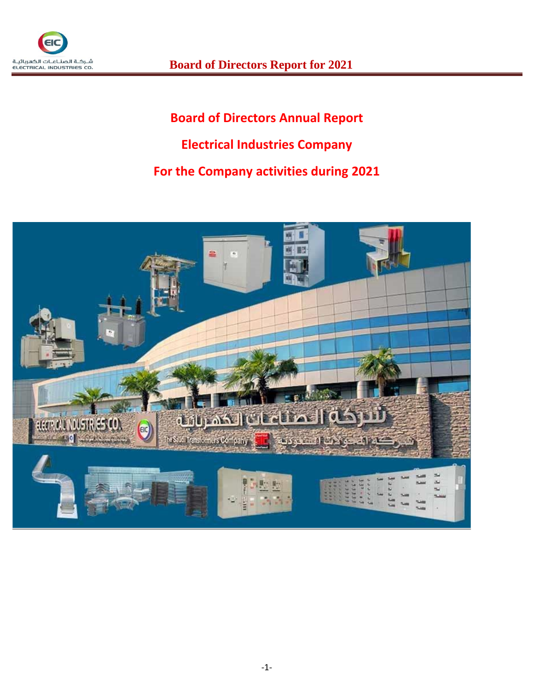

# **Board of Directors Annual Report Electrical Industries Company For the Company activities during 2021**

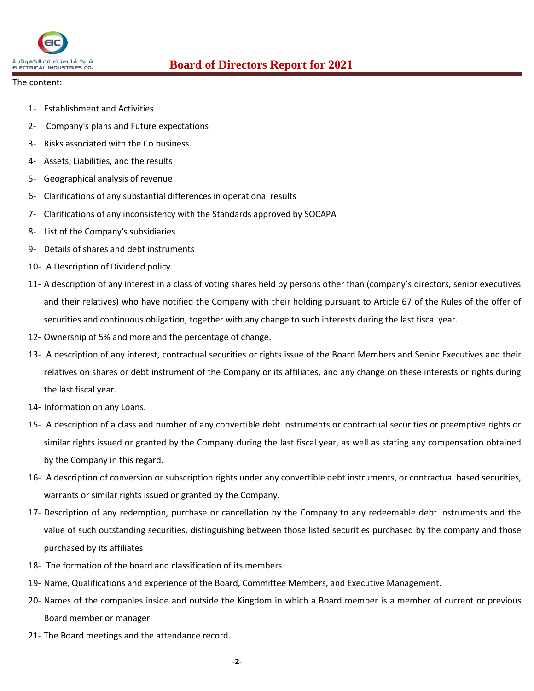

- The content:
	- 1- Establishment and Activities
	- 2- Company's plans and Future expectations
	- 3- Risks associated with the Co business
	- 4- Assets, Liabilities, and the results
	- 5- Geographical analysis of revenue
	- 6- Clarifications of any substantial differences in operational results
	- 7- Clarifications of any inconsistency with the Standards approved by SOCAPA
	- 8- List of the Company's subsidiaries
	- 9- Details of shares and debt instruments
	- 10- A Description of Dividend policy
	- 11- A description of any interest in a class of voting shares held by persons other than (company's directors, senior executives and their relatives) who have notified the Company with their holding pursuant to Article 67 of the Rules of the offer of securities and continuous obligation, together with any change to such interests during the last fiscal year.
	- 12- Ownership of 5% and more and the percentage of change.
	- 13- A description of any interest, contractual securities or rights issue of the Board Members and Senior Executives and their relatives on shares or debt instrument of the Company or its affiliates, and any change on these interests or rights during the last fiscal year.
	- 14- Information on any Loans.
	- 15- A description of a class and number of any convertible debt instruments or contractual securities or preemptive rights or similar rights issued or granted by the Company during the last fiscal year, as well as stating any compensation obtained by the Company in this regard.
	- 16- A description of conversion or subscription rights under any convertible debt instruments, or contractual based securities, warrants or similar rights issued or granted by the Company.
	- 17- Description of any redemption, purchase or cancellation by the Company to any redeemable debt instruments and the value of such outstanding securities, distinguishing between those listed securities purchased by the company and those purchased by its affiliates
	- 18- The formation of the board and classification of its members
	- 19- Name, Qualifications and experience of the Board, Committee Members, and Executive Management.
	- 20- Names of the companies inside and outside the Kingdom in which a Board member is a member of current or previous Board member or manager
	- 21- The Board meetings and the attendance record.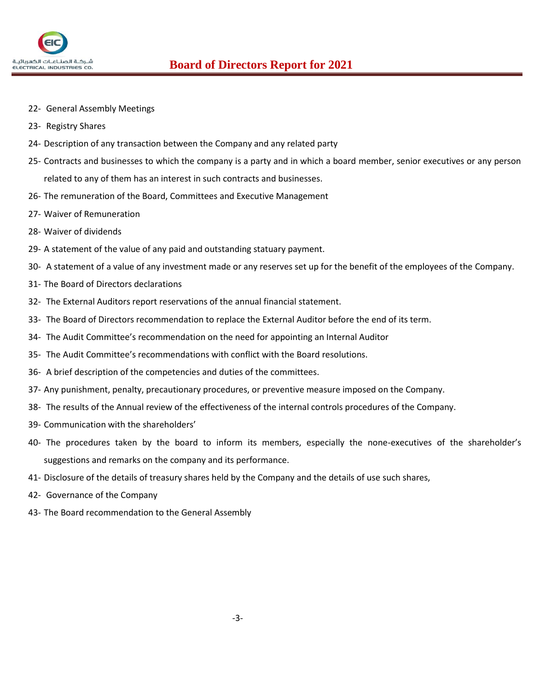

- 22- General Assembly Meetings
- 23- Registry Shares
- 24- Description of any transaction between the Company and any related party
- 25- Contracts and businesses to which the company is a party and in which a board member, senior executives or any person related to any of them has an interest in such contracts and businesses.
- 26- The remuneration of the Board, Committees and Executive Management
- 27- Waiver of Remuneration
- 28- Waiver of dividends
- 29- A statement of the value of any paid and outstanding statuary payment.
- 30- A statement of a value of any investment made or any reserves set up for the benefit of the employees of the Company.
- 31- The Board of Directors declarations
- 32- The External Auditors report reservations of the annual financial statement.
- 33- The Board of Directors recommendation to replace the External Auditor before the end of its term.
- 34- The Audit Committee's recommendation on the need for appointing an Internal Auditor
- 35- The Audit Committee's recommendations with conflict with the Board resolutions.
- 36- A brief description of the competencies and duties of the committees.
- 37- Any punishment, penalty, precautionary procedures, or preventive measure imposed on the Company.
- 38- The results of the Annual review of the effectiveness of the internal controls procedures of the Company.
- 39- Communication with the shareholders'
- 40- The procedures taken by the board to inform its members, especially the none-executives of the shareholder's suggestions and remarks on the company and its performance.
- 41- Disclosure of the details of treasury shares held by the Company and the details of use such shares,
- 42- Governance of the Company
- 43- The Board recommendation to the General Assembly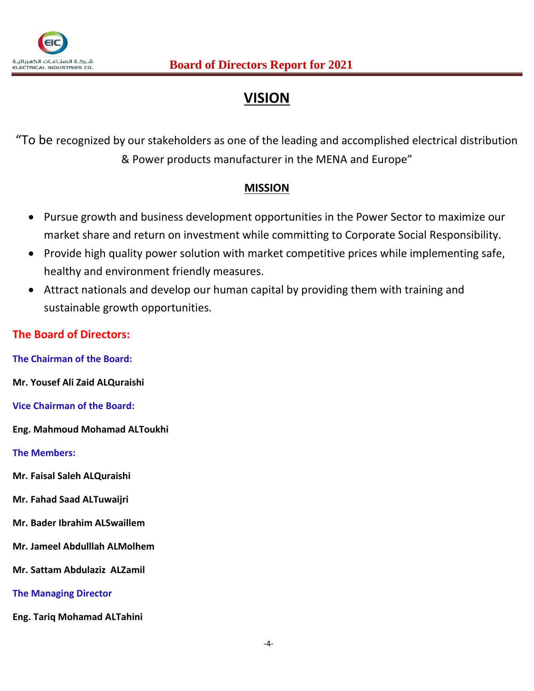

# **VISION**

"To be recognized by our stakeholders as one of the leading and accomplished electrical distribution & Power products manufacturer in the MENA and Europe"

## **MISSION**

- Pursue growth and business development opportunities in the Power Sector to maximize our market share and return on investment while committing to Corporate Social Responsibility.
- Provide high quality power solution with market competitive prices while implementing safe, healthy and environment friendly measures.
- Attract nationals and develop our human capital by providing them with training and sustainable growth opportunities.

## **The Board of Directors:**

**The Chairman of the Board:**

**Mr. Yousef Ali Zaid ALQuraishi**

**Vice Chairman of the Board:**

**Eng. Mahmoud Mohamad ALToukhi**

**The Members:**

- **Mr. Faisal Saleh ALQuraishi**
- **Mr. Fahad Saad ALTuwaijri**
- **Mr. Bader Ibrahim ALSwaillem**
- **Mr. Jameel Abdulllah ALMolhem**
- **Mr. Sattam Abdulaziz ALZamil**
- **The Managing Director**
- **Eng. Tariq Mohamad ALTahini**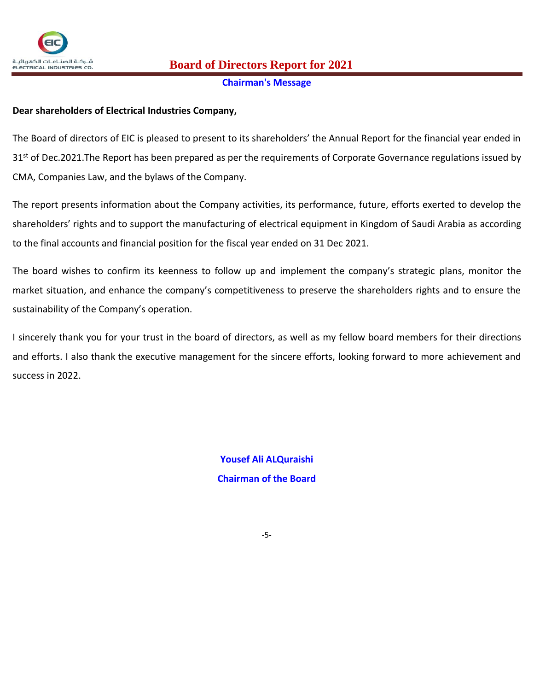

# $\frac{1}{\text{Euler}}$ شركـة الصناعـات الكعربائيـة **Board of Directors Report for 2021**

#### **Chairman's Message**

## **Dear shareholders of Electrical Industries Company,**

The Board of directors of EIC is pleased to present to its shareholders' the Annual Report for the financial year ended in 31<sup>st</sup> of Dec.2021. The Report has been prepared as per the requirements of Corporate Governance regulations issued by CMA, Companies Law, and the bylaws of the Company.

The report presents information about the Company activities, its performance, future, efforts exerted to develop the shareholders' rights and to support the manufacturing of electrical equipment in Kingdom of Saudi Arabia as according to the final accounts and financial position for the fiscal year ended on 31 Dec 2021.

The board wishes to confirm its keenness to follow up and implement the company's strategic plans, monitor the market situation, and enhance the company's competitiveness to preserve the shareholders rights and to ensure the sustainability of the Company's operation.

I sincerely thank you for your trust in the board of directors, as well as my fellow board members for their directions and efforts. I also thank the executive management for the sincere efforts, looking forward to more achievement and success in 2022.

> **Yousef Ali ALQuraishi Chairman of the Board**

> > -5-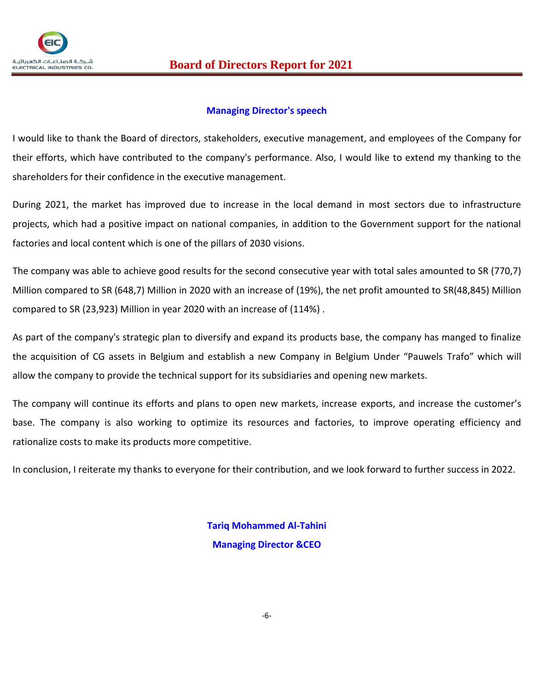

## **Managing Director's speech**

I would like to thank the Board of directors, stakeholders, executive management, and employees of the Company for their efforts, which have contributed to the company's performance. Also, I would like to extend my thanking to the shareholders for their confidence in the executive management.

During 2021, the market has improved due to increase in the local demand in most sectors due to infrastructure projects, which had a positive impact on national companies, in addition to the Government support for the national factories and local content which is one of the pillars of 2030 visions.

The company was able to achieve good results for the second consecutive year with total sales amounted to SR (770,7) Million compared to SR (648,7) Million in 2020 with an increase of (19%), the net profit amounted to SR(48,845) Million compared to SR (23,923) Million in year 2020 with an increase of (114%) .

As part of the company's strategic plan to diversify and expand its products base, the company has manged to finalize the acquisition of CG assets in Belgium and establish a new Company in Belgium Under "Pauwels Trafo" which will allow the company to provide the technical support for its subsidiaries and opening new markets.

The company will continue its efforts and plans to open new markets, increase exports, and increase the customer's base. The company is also working to optimize its resources and factories, to improve operating efficiency and rationalize costs to make its products more competitive.

In conclusion, I reiterate my thanks to everyone for their contribution, and we look forward to further success in 2022.

**Tariq Mohammed Al-Tahini Managing Director &CEO**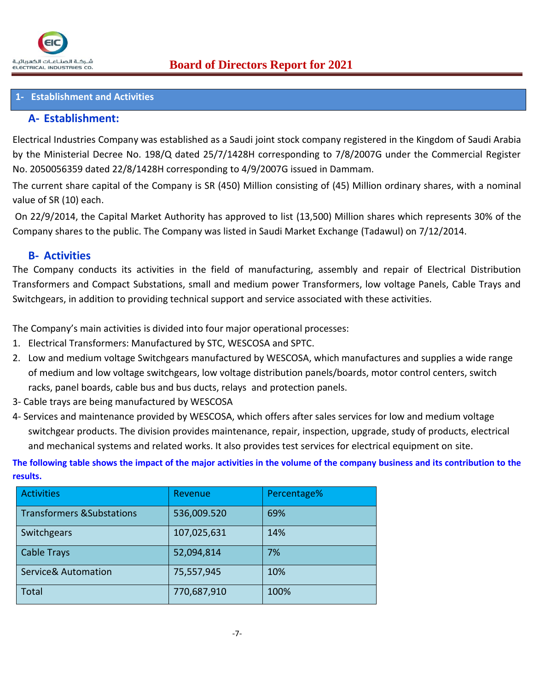### **1- Establishment and Activities**

## **A- Establishment:**

Electrical Industries Company was established as a Saudi joint stock company registered in the Kingdom of Saudi Arabia by the Ministerial Decree No. 198/Q dated 25/7/1428H corresponding to 7/8/2007G under the Commercial Register No. 2050056359 dated 22/8/1428H corresponding to 4/9/2007G issued in Dammam.

The current share capital of the Company is SR (450) Million consisting of (45) Million ordinary shares, with a nominal value of SR (10) each.

On 22/9/2014, the Capital Market Authority has approved to list (13,500) Million shares which represents 30% of the Company shares to the public. The Company was listed in Saudi Market Exchange (Tadawul) on 7/12/2014.

## **B- Activities**

The Company conducts its activities in the field of manufacturing, assembly and repair of Electrical Distribution Transformers and Compact Substations, small and medium power Transformers, low voltage Panels, Cable Trays and Switchgears, in addition to providing technical support and service associated with these activities.

The Company's main activities is divided into four major operational processes:

- 1. Electrical Transformers: Manufactured by STC, WESCOSA and SPTC.
- 2. Low and medium voltage Switchgears manufactured by WESCOSA, which manufactures and supplies a wide range of medium and low voltage switchgears, low voltage distribution panels/boards, motor control centers, switch racks, panel boards, cable bus and bus ducts, relays and protection panels.
- 3- Cable trays are being manufactured by WESCOSA
- 4- Services and maintenance provided by WESCOSA, which offers after sales services for low and medium voltage switchgear products. The division provides maintenance, repair, inspection, upgrade, study of products, electrical and mechanical systems and related works. It also provides test services for electrical equipment on site.

**The following table shows the impact of the major activities in the volume of the company business and its contribution to the results.**

| <b>Activities</b>                     | Revenue     | Percentage% |
|---------------------------------------|-------------|-------------|
| <b>Transformers &amp; Substations</b> | 536,009.520 | 69%         |
| Switchgears                           | 107,025,631 | 14%         |
| <b>Cable Trays</b>                    | 52,094,814  | 7%          |
| <b>Service&amp; Automation</b>        | 75,557,945  | 10%         |
| Total                                 | 770,687,910 | 100%        |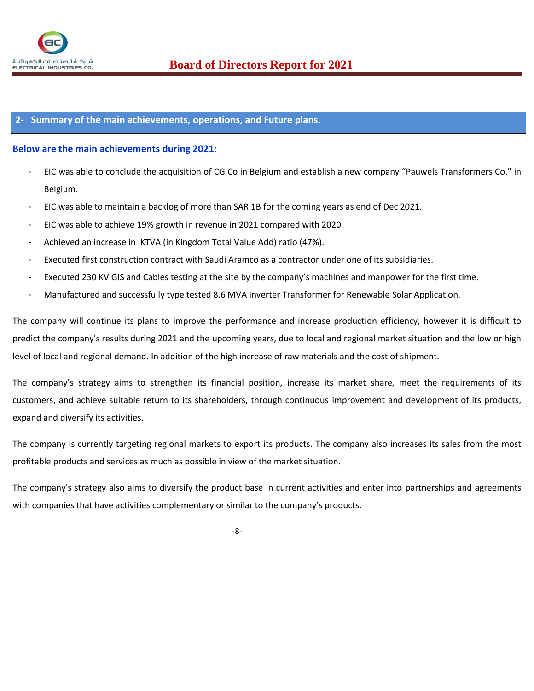

#### **2- Summary of the main achievements, operations, and Future plans.**

#### **Below are the main achievements during 2021**:

- EIC was able to conclude the acquisition of CG Co in Belgium and establish a new company "Pauwels Transformers Co." in Belgium.
- EIC was able to maintain a backlog of more than SAR 1B for the coming years as end of Dec 2021.
- EIC was able to achieve 19% growth in revenue in 2021 compared with 2020.
- Achieved an increase in IKTVA (in Kingdom Total Value Add) ratio (47%).
- Executed first construction contract with Saudi Aramco as a contractor under one of its subsidiaries.
- Executed 230 KV GIS and Cables testing at the site by the company's machines and manpower for the first time.
- Manufactured and successfully type tested 8.6 MVA Inverter Transformer for Renewable Solar Application.

The company will continue its plans to improve the performance and increase production efficiency, however it is difficult to predict the company's results during 2021 and the upcoming years, due to local and regional market situation and the low or high level of local and regional demand. In addition of the high increase of raw materials and the cost of shipment.

The company's strategy aims to strengthen its financial position, increase its market share, meet the requirements of its customers, and achieve suitable return to its shareholders, through continuous improvement and development of its products, expand and diversify its activities.

The company is currently targeting regional markets to export its products. The company also increases its sales from the most profitable products and services as much as possible in view of the market situation.

The company's strategy also aims to diversify the product base in current activities and enter into partnerships and agreements with companies that have activities complementary or similar to the company's products.

-8-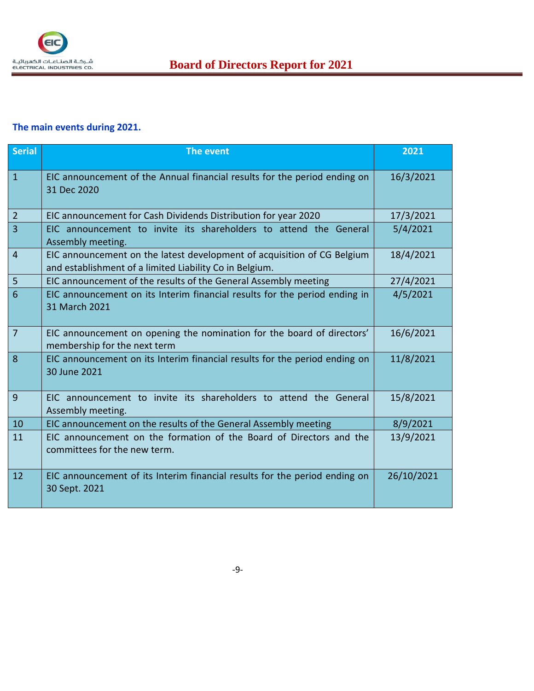

## **The main events during 2021.**

| <b>Serial</b>   | <b>The event</b>                                                                                                                   | 2021       |
|-----------------|------------------------------------------------------------------------------------------------------------------------------------|------------|
| $\mathbf{1}$    | EIC announcement of the Annual financial results for the period ending on<br>31 Dec 2020                                           | 16/3/2021  |
| $\overline{2}$  | EIC announcement for Cash Dividends Distribution for year 2020                                                                     | 17/3/2021  |
| $\overline{3}$  | EIC announcement to invite its shareholders to attend the General<br>Assembly meeting.                                             | 5/4/2021   |
| $\overline{4}$  | EIC announcement on the latest development of acquisition of CG Belgium<br>and establishment of a limited Liability Co in Belgium. | 18/4/2021  |
| 5               | EIC announcement of the results of the General Assembly meeting                                                                    | 27/4/2021  |
| $6\phantom{1}6$ | EIC announcement on its Interim financial results for the period ending in<br>31 March 2021                                        | 4/5/2021   |
| $\overline{7}$  | EIC announcement on opening the nomination for the board of directors'<br>membership for the next term                             | 16/6/2021  |
| 8               | EIC announcement on its Interim financial results for the period ending on<br>30 June 2021                                         | 11/8/2021  |
| 9               | EIC announcement to invite its shareholders to attend the General<br>Assembly meeting.                                             | 15/8/2021  |
| 10              | EIC announcement on the results of the General Assembly meeting                                                                    | 8/9/2021   |
| 11              | EIC announcement on the formation of the Board of Directors and the<br>committees for the new term.                                | 13/9/2021  |
| 12              | EIC announcement of its Interim financial results for the period ending on<br>30 Sept. 2021                                        | 26/10/2021 |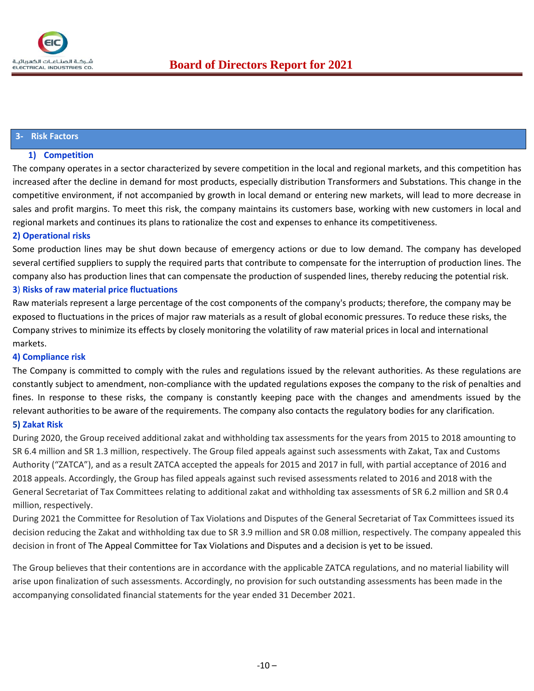#### **3- Risk Factors**

#### **1) Competition**

The company operates in a sector characterized by severe competition in the local and regional markets, and this competition has increased after the decline in demand for most products, especially distribution Transformers and Substations. This change in the competitive environment, if not accompanied by growth in local demand or entering new markets, will lead to more decrease in sales and profit margins. To meet this risk, the company maintains its customers base, working with new customers in local and regional markets and continues its plans to rationalize the cost and expenses to enhance its competitiveness.

#### **2) Operational risks**

Some production lines may be shut down because of emergency actions or due to low demand. The company has developed several certified suppliers to supply the required parts that contribute to compensate for the interruption of production lines. The company also has production lines that can compensate the production of suspended lines, thereby reducing the potential risk. **3**) **Risks of raw material price fluctuations** 

Raw materials represent a large percentage of the cost components of the company's products; therefore, the company may be exposed to fluctuations in the prices of major raw materials as a result of global economic pressures. To reduce these risks, the Company strives to minimize its effects by closely monitoring the volatility of raw material prices in local and international markets.

#### **4) Compliance risk**

The Company is committed to comply with the rules and regulations issued by the relevant authorities. As these regulations are constantly subject to amendment, non-compliance with the updated regulations exposes the company to the risk of penalties and fines. In response to these risks, the company is constantly keeping pace with the changes and amendments issued by the relevant authorities to be aware of the requirements. The company also contacts the regulatory bodies for any clarification.

#### **5) Zakat Risk**

During 2020, the Group received additional zakat and withholding tax assessments for the years from 2015 to 2018 amounting to SR 6.4 million and SR 1.3 million, respectively. The Group filed appeals against such assessments with Zakat, Tax and Customs Authority ("ZATCA"), and as a result ZATCA accepted the appeals for 2015 and 2017 in full, with partial acceptance of 2016 and 2018 appeals. Accordingly, the Group has filed appeals against such revised assessments related to 2016 and 2018 with the General Secretariat of Tax Committees relating to additional zakat and withholding tax assessments of SR 6.2 million and SR 0.4 million, respectively.

During 2021 the Committee for Resolution of Tax Violations and Disputes of the General Secretariat of Tax Committees issued its decision reducing the Zakat and withholding tax due to SR 3.9 million and SR 0.08 million, respectively. The company appealed this decision in front of The Appeal Committee for Tax Violations and Disputes and a decision is yet to be issued.

The Group believes that their contentions are in accordance with the applicable ZATCA regulations, and no material liability will arise upon finalization of such assessments. Accordingly, no provision for such outstanding assessments has been made in the accompanying consolidated financial statements for the year ended 31 December 2021.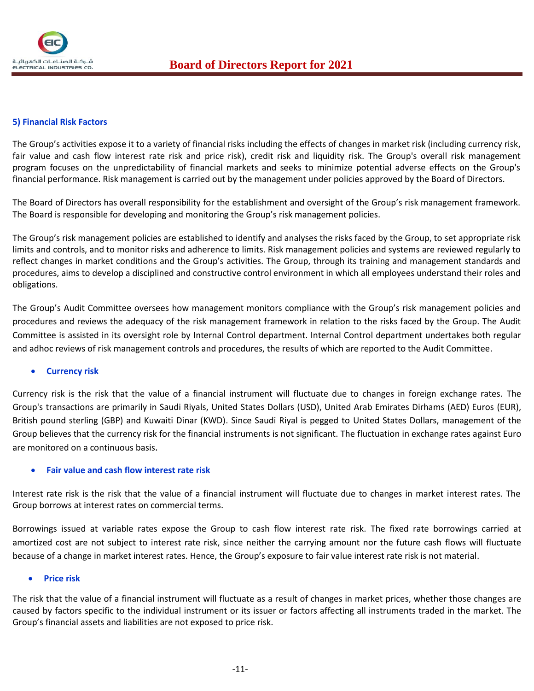

#### **5) Financial Risk Factors**

The Group's activities expose it to a variety of financial risks including the effects of changes in market risk (including currency risk, fair value and cash flow interest rate risk and price risk), credit risk and liquidity risk. The Group's overall risk management program focuses on the unpredictability of financial markets and seeks to minimize potential adverse effects on the Group's financial performance. Risk management is carried out by the management under policies approved by the Board of Directors.

The Board of Directors has overall responsibility for the establishment and oversight of the Group's risk management framework. The Board is responsible for developing and monitoring the Group's risk management policies.

The Group's risk management policies are established to identify and analyses the risks faced by the Group, to set appropriate risk limits and controls, and to monitor risks and adherence to limits. Risk management policies and systems are reviewed regularly to reflect changes in market conditions and the Group's activities. The Group, through its training and management standards and procedures, aims to develop a disciplined and constructive control environment in which all employees understand their roles and obligations.

The Group's Audit Committee oversees how management monitors compliance with the Group's risk management policies and procedures and reviews the adequacy of the risk management framework in relation to the risks faced by the Group. The Audit Committee is assisted in its oversight role by Internal Control department. Internal Control department undertakes both regular and adhoc reviews of risk management controls and procedures, the results of which are reported to the Audit Committee.

#### • **Currency risk**

Currency risk is the risk that the value of a financial instrument will fluctuate due to changes in foreign exchange rates. The Group's transactions are primarily in Saudi Riyals, United States Dollars (USD), United Arab Emirates Dirhams (AED) Euros (EUR), British pound sterling (GBP) and Kuwaiti Dinar (KWD). Since Saudi Riyal is pegged to United States Dollars, management of the Group believes that the currency risk for the financial instruments is not significant. The fluctuation in exchange rates against Euro are monitored on a continuous basis.

#### • **Fair value and cash flow interest rate risk**

Interest rate risk is the risk that the value of a financial instrument will fluctuate due to changes in market interest rates. The Group borrows at interest rates on commercial terms.

Borrowings issued at variable rates expose the Group to cash flow interest rate risk. The fixed rate borrowings carried at amortized cost are not subject to interest rate risk, since neither the carrying amount nor the future cash flows will fluctuate because of a change in market interest rates. Hence, the Group's exposure to fair value interest rate risk is not material.

#### • **Price risk**

The risk that the value of a financial instrument will fluctuate as a result of changes in market prices, whether those changes are caused by factors specific to the individual instrument or its issuer or factors affecting all instruments traded in the market. The Group's financial assets and liabilities are not exposed to price risk.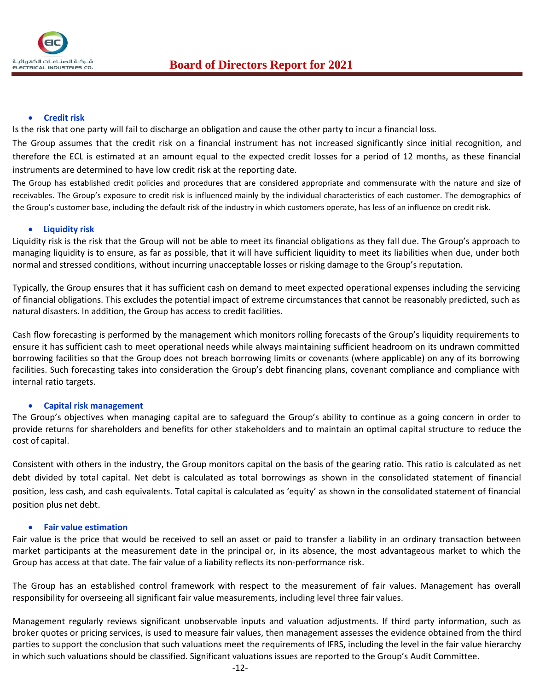

#### • **Credit risk**

Is the risk that one party will fail to discharge an obligation and cause the other party to incur a financial loss.

The Group assumes that the credit risk on a financial instrument has not increased significantly since initial recognition, and therefore the ECL is estimated at an amount equal to the expected credit losses for a period of 12 months, as these financial instruments are determined to have low credit risk at the reporting date.

The Group has established credit policies and procedures that are considered appropriate and commensurate with the nature and size of receivables. The Group's exposure to credit risk is influenced mainly by the individual characteristics of each customer. The demographics of the Group's customer base, including the default risk of the industry in which customers operate, has less of an influence on credit risk.

#### • **Liquidity risk**

Liquidity risk is the risk that the Group will not be able to meet its financial obligations as they fall due. The Group's approach to managing liquidity is to ensure, as far as possible, that it will have sufficient liquidity to meet its liabilities when due, under both normal and stressed conditions, without incurring unacceptable losses or risking damage to the Group's reputation.

Typically, the Group ensures that it has sufficient cash on demand to meet expected operational expenses including the servicing of financial obligations. This excludes the potential impact of extreme circumstances that cannot be reasonably predicted, such as natural disasters. In addition, the Group has access to credit facilities.

Cash flow forecasting is performed by the management which monitors rolling forecasts of the Group's liquidity requirements to ensure it has sufficient cash to meet operational needs while always maintaining sufficient headroom on its undrawn committed borrowing facilities so that the Group does not breach borrowing limits or covenants (where applicable) on any of its borrowing facilities. Such forecasting takes into consideration the Group's debt financing plans, covenant compliance and compliance with internal ratio targets.

#### • **Capital risk management**

The Group's objectives when managing capital are to safeguard the Group's ability to continue as a going concern in order to provide returns for shareholders and benefits for other stakeholders and to maintain an optimal capital structure to reduce the cost of capital.

Consistent with others in the industry, the Group monitors capital on the basis of the gearing ratio. This ratio is calculated as net debt divided by total capital. Net debt is calculated as total borrowings as shown in the consolidated statement of financial position, less cash, and cash equivalents. Total capital is calculated as 'equity' as shown in the consolidated statement of financial position plus net debt.

#### • **Fair value estimation**

Fair value is the price that would be received to sell an asset or paid to transfer a liability in an ordinary transaction between market participants at the measurement date in the principal or, in its absence, the most advantageous market to which the Group has access at that date. The fair value of a liability reflects its non-performance risk.

The Group has an established control framework with respect to the measurement of fair values. Management has overall responsibility for overseeing all significant fair value measurements, including level three fair values.

Management regularly reviews significant unobservable inputs and valuation adjustments. If third party information, such as broker quotes or pricing services, is used to measure fair values, then management assesses the evidence obtained from the third parties to support the conclusion that such valuations meet the requirements of IFRS, including the level in the fair value hierarchy in which such valuations should be classified. Significant valuations issues are reported to the Group's Audit Committee.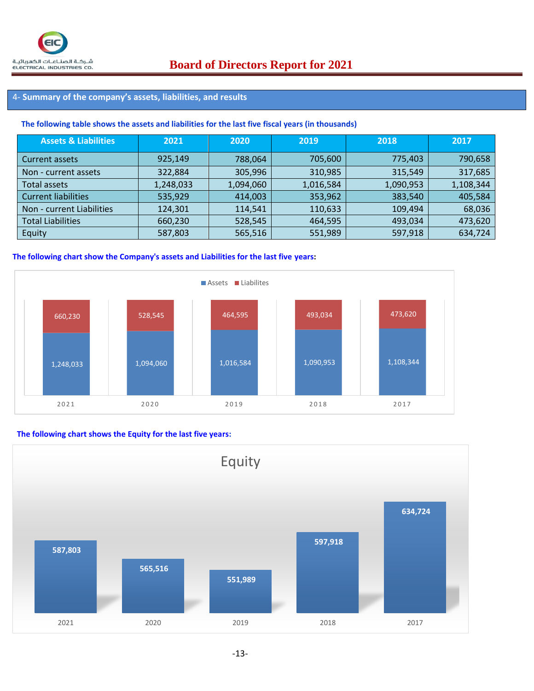## 4- **Summary of the company's assets, liabilities, and results**

#### **The following table shows the assets and liabilities for the last five fiscal years (in thousands)**

| <b>Assets &amp; Liabilities</b> | 2021      | 2020      | 2019      | 2018      | 2017      |
|---------------------------------|-----------|-----------|-----------|-----------|-----------|
| Current assets                  | 925,149   | 788,064   | 705,600   | 775,403   | 790,658   |
| Non - current assets            | 322,884   | 305,996   | 310,985   | 315,549   | 317,685   |
| <b>Total assets</b>             | 1,248,033 | 1,094,060 | 1,016,584 | 1,090,953 | 1,108,344 |
| <b>Current liabilities</b>      | 535,929   | 414,003   | 353,962   | 383,540   | 405,584   |
| Non - current Liabilities       | 124,301   | 114,541   | 110,633   | 109,494   | 68,036    |
| <b>Total Liabilities</b>        | 660,230   | 528,545   | 464,595   | 493,034   | 473,620   |
| Equity                          | 587,803   | 565,516   | 551,989   | 597,918   | 634,724   |

#### **The following chart show the Company's assets and Liabilities for the last five years:**



#### **The following chart shows the Equity for the last five years:**

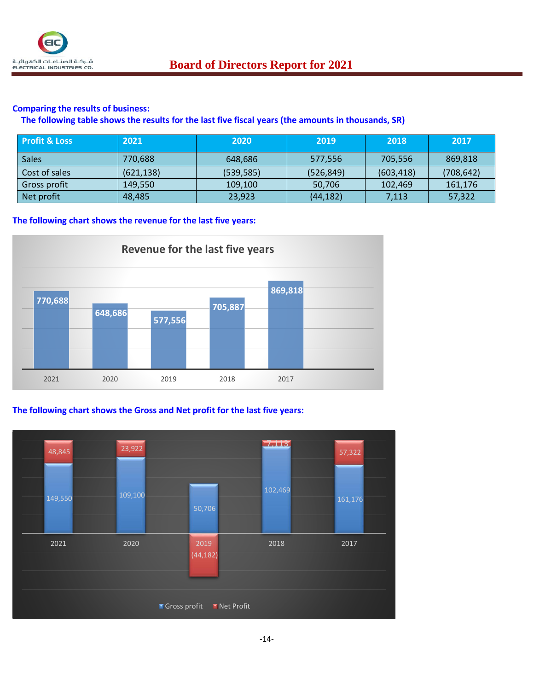

#### **Comparing the results of business:**

**The following table shows the results for the last five fiscal years (the amounts in thousands, SR)**

| <b>Profit &amp; Loss</b> | 2021'      | 2020       | 2019       | 2018       | 2017       |
|--------------------------|------------|------------|------------|------------|------------|
| <b>Sales</b>             | 770,688    | 648.686    | 577,556    | 705,556    | 869,818    |
| Cost of sales            | (621, 138) | (539, 585) | (526, 849) | (603, 418) | (708, 642) |
| Gross profit             | 149.550    | 109,100    | 50,706     | 102,469    | 161,176    |
| Net profit               | 48,485     | 23,923     | (44, 182)  | 7,113      | 57,322     |

**The following chart shows the revenue for the last five years:**



## **The following chart shows the Gross and Net profit for the last five years:**

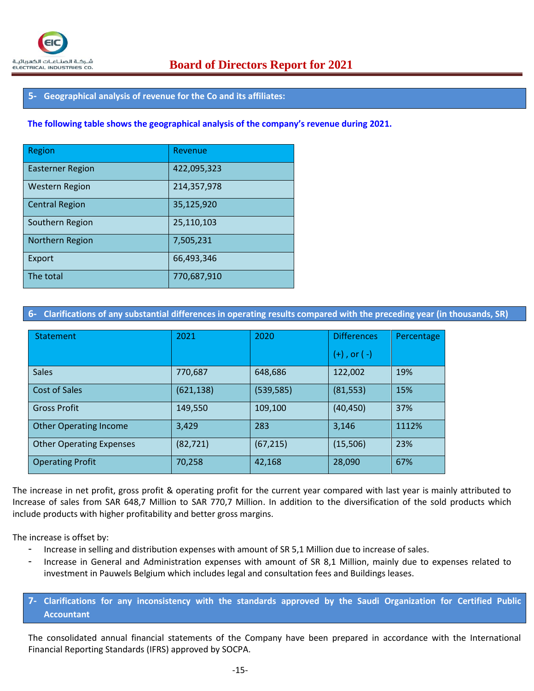## **5- Geographical analysis of revenue for the Co and its affiliates:**

#### **The following table shows the geographical analysis of the company's revenue during 2021.**

| Region                  | Revenue     |
|-------------------------|-------------|
| <b>Easterner Region</b> | 422,095,323 |
| <b>Western Region</b>   | 214,357,978 |
| <b>Central Region</b>   | 35,125,920  |
| Southern Region         | 25,110,103  |
| Northern Region         | 7,505,231   |
| Export                  | 66,493,346  |
| The total               | 770,687,910 |

**6- Clarifications of any substantial differences in operating results compared with the preceding year (in thousands, SR)**

| Statement                       | 2021       | 2020       | <b>Differences</b> | Percentage |
|---------------------------------|------------|------------|--------------------|------------|
|                                 |            |            | $(+)$ , or $(-)$   |            |
| <b>Sales</b>                    | 770,687    | 648,686    | 122,002            | 19%        |
| Cost of Sales                   | (621, 138) | (539, 585) | (81, 553)          | 15%        |
| <b>Gross Profit</b>             | 149,550    | 109,100    | (40, 450)          | 37%        |
| <b>Other Operating Income</b>   | 3,429      | 283        | 3,146              | 1112%      |
| <b>Other Operating Expenses</b> | (82, 721)  | (67, 215)  | (15,506)           | 23%        |
| <b>Operating Profit</b>         | 70,258     | 42,168     | 28,090             | 67%        |

The increase in net profit, gross profit & operating profit for the current year compared with last year is mainly attributed to Increase of sales from SAR 648,7 Million to SAR 770,7 Million. In addition to the diversification of the sold products which include products with higher profitability and better gross margins.

The increase is offset by:

- Increase in selling and distribution expenses with amount of SR 5,1 Million due to increase of sales.
- Increase in General and Administration expenses with amount of SR 8,1 Million, mainly due to expenses related to investment in Pauwels Belgium which includes legal and consultation fees and Buildings leases.
- **7- Clarifications for any inconsistency with the standards approved by the Saudi Organization for Certified Public Accountant**

The consolidated annual financial statements of the Company have been prepared in accordance with the International Financial Reporting Standards (IFRS) approved by SOCPA.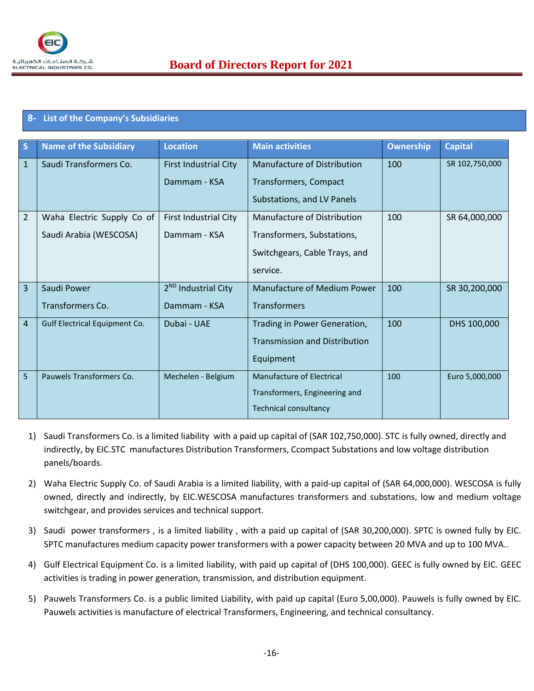

## **8- List of the Company's Subsidiaries**

| S              | <b>Name of the Subsidiary</b> | <b>Location</b>                 | <b>Main activities</b>               | <b>Ownership</b> | <b>Capital</b> |
|----------------|-------------------------------|---------------------------------|--------------------------------------|------------------|----------------|
| $\mathbf{1}$   | Saudi Transformers Co.        | <b>First Industrial City</b>    | <b>Manufacture of Distribution</b>   | 100              | SR 102,750,000 |
|                |                               | Dammam - KSA                    | Transformers, Compact                |                  |                |
|                |                               |                                 | Substations, and LV Panels           |                  |                |
| $\overline{2}$ | Waha Electric Supply Co of    | <b>First Industrial City</b>    | Manufacture of Distribution          | 100              | SR 64,000,000  |
|                | Saudi Arabia (WESCOSA)        | Dammam - KSA                    | Transformers, Substations,           |                  |                |
|                |                               |                                 | Switchgears, Cable Trays, and        |                  |                |
|                |                               |                                 | service.                             |                  |                |
| $\overline{3}$ | Saudi Power                   | 2 <sup>ND</sup> Industrial City | <b>Manufacture of Medium Power</b>   | 100              | SR 30,200,000  |
|                | Transformers Co.              | Dammam - KSA                    | <b>Transformers</b>                  |                  |                |
| $\overline{4}$ | Gulf Electrical Equipment Co. | Dubai - UAE                     | Trading in Power Generation,         | 100              | DHS 100,000    |
|                |                               |                                 | <b>Transmission and Distribution</b> |                  |                |
|                |                               |                                 | Equipment                            |                  |                |
| 5              | Pauwels Transformers Co.      | Mechelen - Belgium              | Manufacture of Electrical            | 100              | Euro 5,000,000 |
|                |                               |                                 | Transformers, Engineering and        |                  |                |
|                |                               |                                 | <b>Technical consultancy</b>         |                  |                |

- 1) Saudi Transformers Co. is a limited liability with a paid up capital of (SAR 102,750,000). STC is fully owned, directly and indirectly, by EIC.STC manufactures Distribution Transformers, Ccompact Substations and low voltage distribution panels/boards.
- 2) Waha Electric Supply Co. of Saudi Arabia is a limited liability, with a paid-up capital of (SAR 64,000,000). WESCOSA is fully owned, directly and indirectly, by EIC.WESCOSA manufactures transformers and substations, low and medium voltage switchgear, and provides services and technical support.
- 3) Saudi power transformers , is a limited liability , with a paid up capital of (SAR 30,200,000). SPTC is owned fully by EIC. SPTC manufactures medium capacity power transformers with a power capacity between 20 MVA and up to 100 MVA..
- 4) Gulf Electrical Equipment Co. is a limited liability, with paid up capital of (DHS 100,000). GEEC is fully owned by EIC. GEEC activities is trading in power generation, transmission, and distribution equipment.
- 5) Pauwels Transformers Co. is a public limited Liability, with paid up capital (Euro 5,00,000). Pauwels is fully owned by EIC. Pauwels activities is manufacture of electrical Transformers, Engineering, and technical consultancy.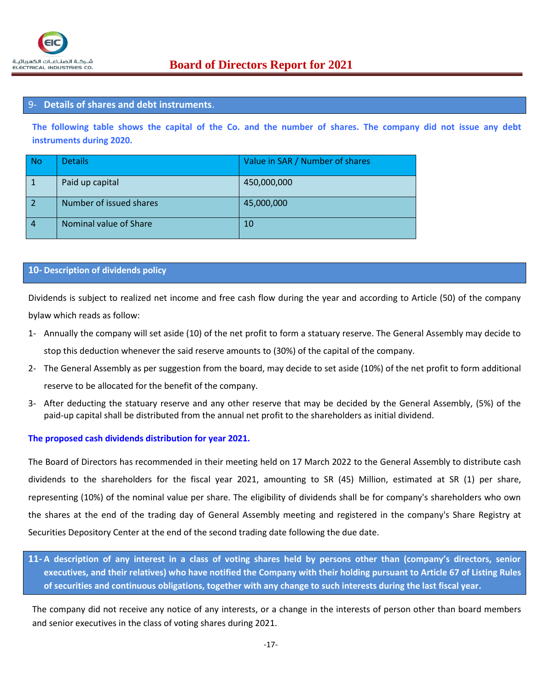#### 9- **Details of shares and debt instruments**.

**The following table shows the capital of the Co. and the number of shares. The company did not issue any debt instruments during 2020.**

| No        | <b>Details</b>          | Value in SAR / Number of shares |
|-----------|-------------------------|---------------------------------|
|           | Paid up capital         | 450,000,000                     |
| $\vert$ 2 | Number of issued shares | 45,000,000                      |
| 4         | Nominal value of Share  | 10                              |

#### **10- Description of dividends policy**

Dividends is subject to realized net income and free cash flow during the year and according to Article (50) of the company bylaw which reads as follow:

- 1- Annually the company will set aside (10) of the net profit to form a statuary reserve. The General Assembly may decide to stop this deduction whenever the said reserve amounts to (30%) of the capital of the company.
- 2- The General Assembly as per suggestion from the board, may decide to set aside (10%) of the net profit to form additional reserve to be allocated for the benefit of the company.
- 3- After deducting the statuary reserve and any other reserve that may be decided by the General Assembly, (5%) of the paid-up capital shall be distributed from the annual net profit to the shareholders as initial dividend.

#### **The proposed cash dividends distribution for year 2021.**

The Board of Directors has recommended in their meeting held on 17 March 2022 to the General Assembly to distribute cash dividends to the shareholders for the fiscal year 2021, amounting to SR (45) Million, estimated at SR (1) per share, representing (10%) of the nominal value per share. The eligibility of dividends shall be for company's shareholders who own the shares at the end of the trading day of General Assembly meeting and registered in the company's Share Registry at Securities Depository Center at the end of the second trading date following the due date.

**11- A description of any interest in a class of voting shares held by persons other than (company's directors, senior executives, and their relatives) who have notified the Company with their holding pursuant to Article 67 of Listing Rules of securities and continuous obligations, together with any change to such interests during the last fiscal year.**

The company did not receive any notice of any interests, or a change in the interests of person other than board members and senior executives in the class of voting shares during 2021.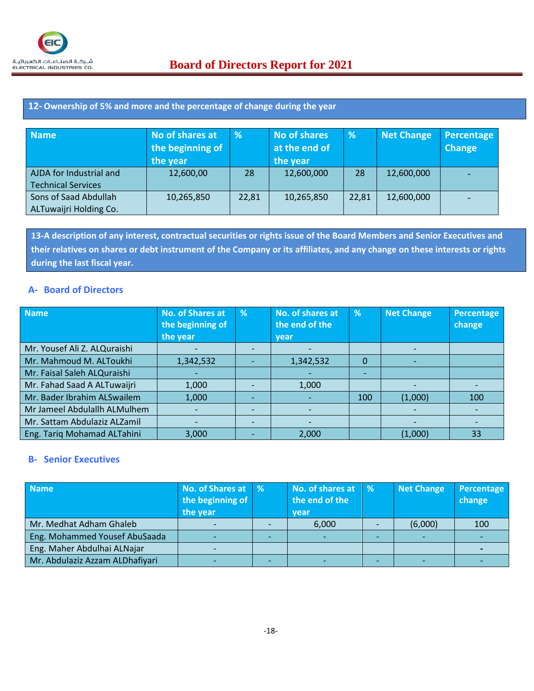### **12- Ownership of 5% and more and the percentage of change during the year**

| <b>Name</b>               | No of shares at<br>the beginning of<br>the year | %     | <b>No of shares</b><br>at the end of<br>the year | %     | <b>Net Change</b> | Percentage<br><b>Change</b> |
|---------------------------|-------------------------------------------------|-------|--------------------------------------------------|-------|-------------------|-----------------------------|
| AJDA for Industrial and   | 12,600,00                                       | 28    | 12,600,000                                       | 28    | 12,600,000        |                             |
| <b>Technical Services</b> |                                                 |       |                                                  |       |                   |                             |
| Sons of Saad Abdullah     | 10,265,850                                      | 22,81 | 10,265,850                                       | 22,81 | 12,600,000        |                             |
| ALTuwaijri Holding Co.    |                                                 |       |                                                  |       |                   |                             |

**13-A description of any interest, contractual securities or rights issue of the Board Members and Senior Executives and their relatives on shares or debt instrument of the Company or its affiliates, and any change on these interests or rights during the last fiscal year.**

## **A- Board of Directors**

| <b>Name</b>                  | <b>No. of Shares at</b><br>the beginning of<br>the year | % | No. of shares at<br>the end of the<br>vear | %        | <b>Net Change</b> | Percentage<br>change |
|------------------------------|---------------------------------------------------------|---|--------------------------------------------|----------|-------------------|----------------------|
| Mr. Yousef Ali Z. ALQuraishi |                                                         |   |                                            |          |                   |                      |
| Mr. Mahmoud M. ALToukhi      | 1,342,532                                               |   | 1,342,532                                  | $\Omega$ |                   |                      |
| Mr. Faisal Saleh ALQuraishi  |                                                         |   |                                            |          |                   |                      |
| Mr. Fahad Saad A ALTuwaijri  | 1,000                                                   |   | 1,000                                      |          |                   |                      |
| Mr. Bader Ibrahim ALSwailem  | 1,000                                                   |   |                                            | 100      | (1,000)           | 100                  |
| Mr Jameel Abdulallh ALMulhem |                                                         |   |                                            |          |                   |                      |
| Mr. Sattam Abdulaziz ALZamil |                                                         |   |                                            |          |                   |                      |
| Eng. Tariq Mohamad ALTahini  | 3,000                                                   |   | 2,000                                      |          | (1,000)           | 33                   |

## **B- Senior Executives**

| <b>Name</b>                     | No. of Shares at | $\frac{9}{6}$ | No. of shares at   % | <b>Net Change</b> | Percentage |
|---------------------------------|------------------|---------------|----------------------|-------------------|------------|
|                                 | the beginning of |               | the end of the       |                   | change     |
|                                 | the year         |               | vear                 |                   |            |
| Mr. Medhat Adham Ghaleb         |                  |               | 6,000                | (6,000)           | 100        |
| Eng. Mohammed Yousef AbuSaada   |                  |               |                      |                   |            |
| Eng. Maher Abdulhai ALNajar     |                  |               |                      |                   |            |
| Mr. Abdulaziz Azzam ALDhafiyari |                  |               |                      |                   |            |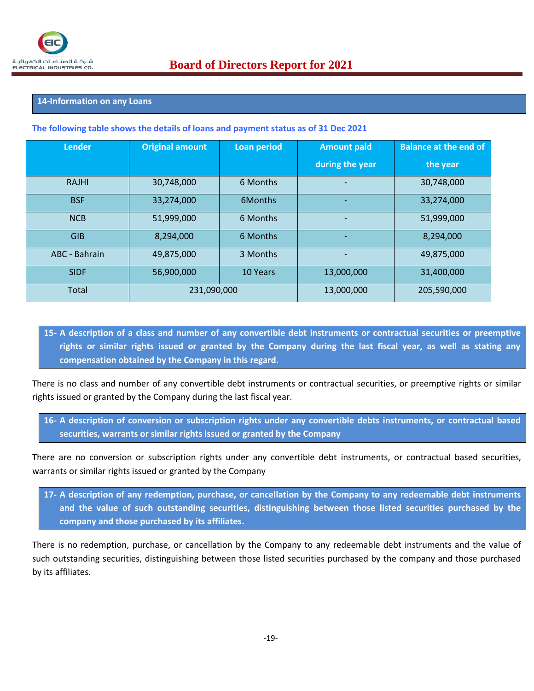#### **14-Information on any Loans**

#### **The following table shows the details of loans and payment status as of 31 Dec 2021**

| <b>Lender</b> | <b>Original amount</b> | <b>Loan period</b> | <b>Amount paid</b> | <b>Balance at the end of</b> |
|---------------|------------------------|--------------------|--------------------|------------------------------|
|               |                        |                    | during the year    | the year                     |
| <b>RAJHI</b>  | 30,748,000             | 6 Months           |                    | 30,748,000                   |
| <b>BSF</b>    | 33,274,000             | 6Months            |                    | 33,274,000                   |
| <b>NCB</b>    | 51,999,000             | 6 Months           |                    | 51,999,000                   |
| <b>GIB</b>    | 8,294,000              | 6 Months           |                    | 8,294,000                    |
| ABC - Bahrain | 49,875,000             | 3 Months           |                    | 49,875,000                   |
| <b>SIDF</b>   | 56,900,000             | 10 Years           | 13,000,000         | 31,400,000                   |
| Total         | 231,090,000            |                    | 13,000,000         | 205,590,000                  |

**15- A description of a class and number of any convertible debt instruments or contractual securities or preemptive rights or similar rights issued or granted by the Company during the last fiscal year, as well as stating any compensation obtained by the Company in this regard.**

There is no class and number of any convertible debt instruments or contractual securities, or preemptive rights or similar rights issued or granted by the Company during the last fiscal year.

**16- A description of conversion or subscription rights under any convertible debts instruments, or contractual based securities, warrants or similar rights issued or granted by the Company**

There are no conversion or subscription rights under any convertible debt instruments, or contractual based securities, warrants or similar rights issued or granted by the Company

**17- A description of any redemption, purchase, or cancellation by the Company to any redeemable debt instruments and the value of such outstanding securities, distinguishing between those listed securities purchased by the company and those purchased by its affiliates.**

There is no redemption, purchase, or cancellation by the Company to any redeemable debt instruments and the value of such outstanding securities, distinguishing between those listed securities purchased by the company and those purchased by its affiliates.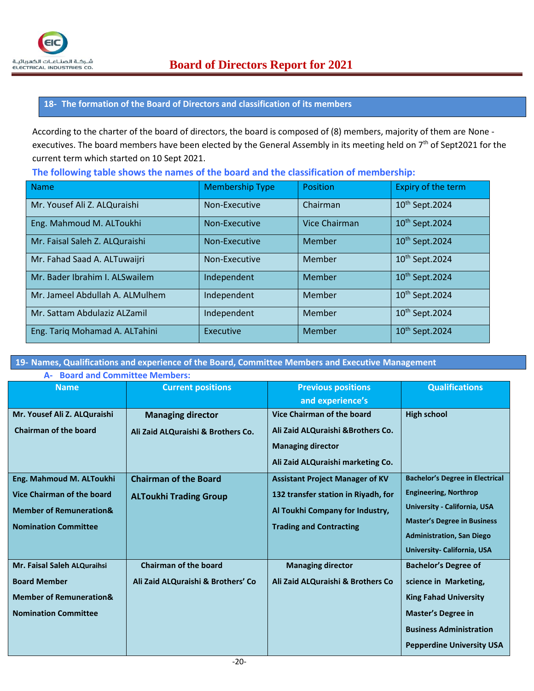

#### **18- The formation of the Board of Directors and classification of its members**

According to the charter of the board of directors, the board is composed of (8) members, majority of them are None executives. The board members have been elected by the General Assembly in its meeting held on 7<sup>th</sup> of Sept2021 for the current term which started on 10 Sept 2021.

**The following table shows the names of the board and the classification of membership:**

| <b>Name</b>                     | <b>Membership Type</b> | <b>Position</b>      | Expiry of the term         |
|---------------------------------|------------------------|----------------------|----------------------------|
| Mr. Yousef Ali Z. ALQuraishi    | Non-Executive          | Chairman             | 10 <sup>th</sup> Sept.2024 |
| Eng. Mahmoud M. ALToukhi        | Non-Executive          | <b>Vice Chairman</b> | 10 <sup>th</sup> Sept.2024 |
| Mr. Faisal Saleh Z. ALQuraishi  | Non-Executive          | Member               | 10 <sup>th</sup> Sept.2024 |
| Mr. Fahad Saad A. ALTuwaijri    | Non-Executive          | Member               | 10 <sup>th</sup> Sept.2024 |
| Mr. Bader Ibrahim I. ALSwailem  | Independent            | Member               | 10 <sup>th</sup> Sept.2024 |
| Mr. Jameel Abdullah A. ALMulhem | Independent            | Member               | 10 <sup>th</sup> Sept.2024 |
| Mr. Sattam Abdulaziz ALZamil    | Independent            | <b>Member</b>        | 10 <sup>th</sup> Sept.2024 |
| Eng. Tariq Mohamad A. ALTahini  | <b>Executive</b>       | Member               | 10 <sup>th</sup> Sept.2024 |

**19- Names, Qualifications and experience of the Board, Committee Members and Executive Management**

| A- Board and Committee Members:                                                                                                    |                                                                    |                                                                                                                                                    |                                                                                                                                                                                                                 |
|------------------------------------------------------------------------------------------------------------------------------------|--------------------------------------------------------------------|----------------------------------------------------------------------------------------------------------------------------------------------------|-----------------------------------------------------------------------------------------------------------------------------------------------------------------------------------------------------------------|
| <b>Name</b>                                                                                                                        | <b>Current positions</b>                                           | <b>Previous positions</b><br>and experience's                                                                                                      | <b>Qualifications</b>                                                                                                                                                                                           |
| Mr. Yousef Ali Z. ALQuraishi<br><b>Chairman of the board</b>                                                                       | <b>Managing director</b><br>Ali Zaid ALQuraishi & Brothers Co.     | Vice Chairman of the board<br>Ali Zaid ALQuraishi & Brothers Co.<br><b>Managing director</b><br>Ali Zaid ALQuraishi marketing Co.                  | <b>High school</b>                                                                                                                                                                                              |
| Eng. Mahmoud M. ALToukhi<br><b>Vice Chairman of the board</b><br><b>Member of Remuneration&amp;</b><br><b>Nomination Committee</b> | <b>Chairman of the Board</b><br><b>ALToukhi Trading Group</b>      | <b>Assistant Project Manager of KV</b><br>132 transfer station in Riyadh, for<br>Al Toukhi Company for Industry,<br><b>Trading and Contracting</b> | <b>Bachelor's Degree in Electrical</b><br><b>Engineering, Northrop</b><br>University - California, USA<br><b>Master's Degree in Business</b><br><b>Administration, San Diego</b><br>University- California, USA |
| Mr. Faisal Saleh ALQuraihsi<br><b>Board Member</b><br><b>Member of Remuneration&amp;</b><br><b>Nomination Committee</b>            | <b>Chairman of the board</b><br>Ali Zaid ALQuraishi & Brothers' Co | <b>Managing director</b><br>Ali Zaid ALQuraishi & Brothers Co                                                                                      | <b>Bachelor's Degree of</b><br>science in Marketing,<br><b>King Fahad University</b><br><b>Master's Degree in</b><br><b>Business Administration</b><br><b>Pepperdine University USA</b>                         |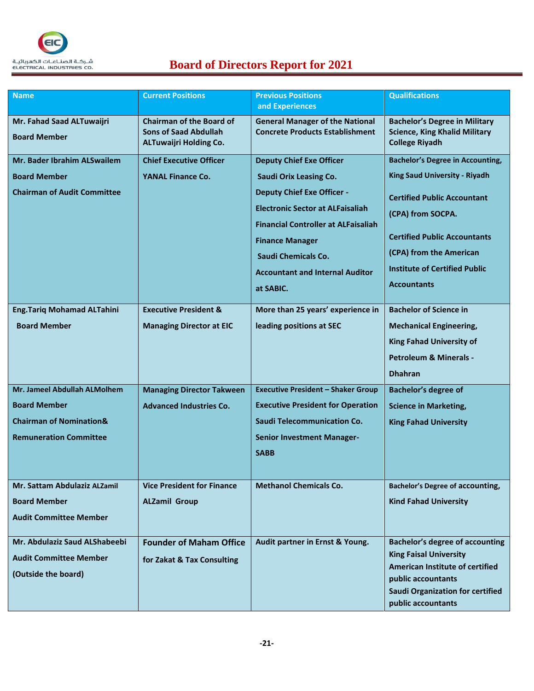

# $\frac{d\mu}{dt}$  **Board of Directors Report for 2021**

| <b>Name</b>                                                                                                                | <b>Current Positions</b>                                                                         | <b>Previous Positions</b><br>and Experiences                                                                                                                                                                                                                                                                  | <b>Qualifications</b>                                                                                                                                                                                                                                                      |
|----------------------------------------------------------------------------------------------------------------------------|--------------------------------------------------------------------------------------------------|---------------------------------------------------------------------------------------------------------------------------------------------------------------------------------------------------------------------------------------------------------------------------------------------------------------|----------------------------------------------------------------------------------------------------------------------------------------------------------------------------------------------------------------------------------------------------------------------------|
| Mr. Fahad Saad ALTuwaijri<br><b>Board Member</b>                                                                           | <b>Chairman of the Board of</b><br><b>Sons of Saad Abdullah</b><br><b>ALTuwaijri Holding Co.</b> | <b>General Manager of the National</b><br><b>Concrete Products Establishment</b>                                                                                                                                                                                                                              | <b>Bachelor's Degree in Military</b><br><b>Science, King Khalid Military</b><br><b>College Riyadh</b>                                                                                                                                                                      |
| Mr. Bader Ibrahim ALSwailem<br><b>Board Member</b><br><b>Chairman of Audit Committee</b>                                   | <b>Chief Executive Officer</b><br><b>YANAL Finance Co.</b>                                       | <b>Deputy Chief Exe Officer</b><br><b>Saudi Orix Leasing Co.</b><br><b>Deputy Chief Exe Officer -</b><br><b>Electronic Sector at ALFaisaliah</b><br><b>Financial Controller at ALFaisaliah</b><br><b>Finance Manager</b><br><b>Saudi Chemicals Co.</b><br><b>Accountant and Internal Auditor</b><br>at SABIC. | <b>Bachelor's Degree in Accounting,</b><br><b>King Saud University - Riyadh</b><br><b>Certified Public Accountant</b><br>(CPA) from SOCPA.<br><b>Certified Public Accountants</b><br>(CPA) from the American<br><b>Institute of Certified Public</b><br><b>Accountants</b> |
| <b>Eng.Tariq Mohamad ALTahini</b><br><b>Board Member</b>                                                                   | <b>Executive President &amp;</b><br><b>Managing Director at EIC</b>                              | More than 25 years' experience in<br>leading positions at SEC                                                                                                                                                                                                                                                 | <b>Bachelor of Science in</b><br><b>Mechanical Engineering,</b><br><b>King Fahad University of</b><br><b>Petroleum &amp; Minerals -</b><br><b>Dhahran</b>                                                                                                                  |
| Mr. Jameel Abdullah ALMolhem<br><b>Board Member</b><br><b>Chairman of Nomination&amp;</b><br><b>Remuneration Committee</b> | <b>Managing Director Takween</b><br><b>Advanced Industries Co.</b>                               | <b>Executive President - Shaker Group</b><br><b>Executive President for Operation</b><br><b>Saudi Telecommunication Co.</b><br><b>Senior Investment Manager-</b><br><b>SABB</b>                                                                                                                               | <b>Bachelor's degree of</b><br><b>Science in Marketing,</b><br><b>King Fahad University</b>                                                                                                                                                                                |
| Mr. Sattam Abdulaziz ALZamil<br><b>Board Member</b><br><b>Audit Committee Member</b>                                       | <b>Vice President for Finance</b><br><b>ALZamil Group</b>                                        | <b>Methanol Chemicals Co.</b>                                                                                                                                                                                                                                                                                 | <b>Bachelor's Degree of accounting,</b><br><b>Kind Fahad University</b>                                                                                                                                                                                                    |
| Mr. Abdulaziz Saud ALShabeebi<br><b>Audit Committee Member</b><br>(Outside the board)                                      | <b>Founder of Maham Office</b><br>for Zakat & Tax Consulting                                     | Audit partner in Ernst & Young.                                                                                                                                                                                                                                                                               | <b>Bachelor's degree of accounting</b><br><b>King Faisal University</b><br>American Institute of certified<br>public accountants<br><b>Saudi Organization for certified</b><br>public accountants                                                                          |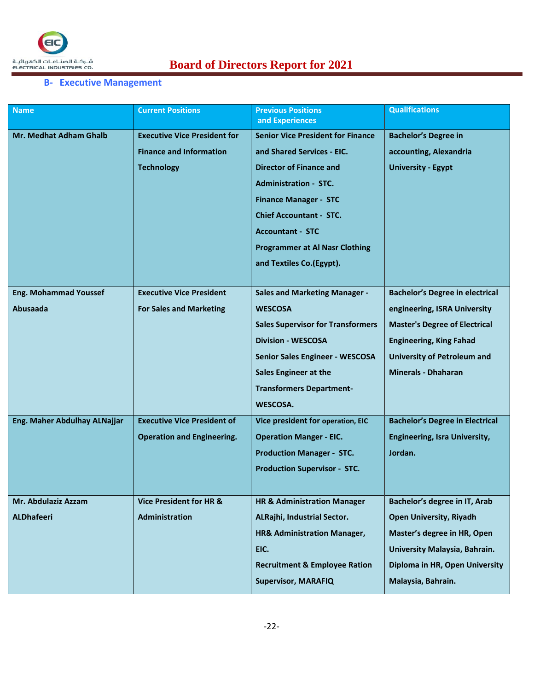# **Board of Directors Report for 2021**

## **B- Executive Management**

| <b>Name</b>                   | <b>Current Positions</b>            | <b>Previous Positions</b><br>and Experiences | <b>Qualifications</b>                  |
|-------------------------------|-------------------------------------|----------------------------------------------|----------------------------------------|
| <b>Mr. Medhat Adham Ghalb</b> | <b>Executive Vice President for</b> | <b>Senior Vice President for Finance</b>     | <b>Bachelor's Degree in</b>            |
|                               | <b>Finance and Information</b>      | and Shared Services - EIC.                   | accounting, Alexandria                 |
|                               | <b>Technology</b>                   | <b>Director of Finance and</b>               | <b>University - Egypt</b>              |
|                               |                                     | <b>Administration - STC.</b>                 |                                        |
|                               |                                     | <b>Finance Manager - STC</b>                 |                                        |
|                               |                                     | <b>Chief Accountant - STC.</b>               |                                        |
|                               |                                     | <b>Accountant - STC</b>                      |                                        |
|                               |                                     | <b>Programmer at Al Nasr Clothing</b>        |                                        |
|                               |                                     | and Textiles Co.(Egypt).                     |                                        |
|                               |                                     |                                              |                                        |
| <b>Eng. Mohammad Youssef</b>  | <b>Executive Vice President</b>     | <b>Sales and Marketing Manager -</b>         | <b>Bachelor's Degree in electrical</b> |
| <b>Abusaada</b>               | <b>For Sales and Marketing</b>      | <b>WESCOSA</b>                               | engineering, ISRA University           |
|                               |                                     | <b>Sales Supervisor for Transformers</b>     | <b>Master's Degree of Electrical</b>   |
|                               |                                     | <b>Division - WESCOSA</b>                    | <b>Engineering, King Fahad</b>         |
|                               |                                     | <b>Senior Sales Engineer - WESCOSA</b>       | <b>University of Petroleum and</b>     |
|                               |                                     | <b>Sales Engineer at the</b>                 | <b>Minerals - Dhaharan</b>             |
|                               |                                     | <b>Transformers Department-</b>              |                                        |
|                               |                                     | WESCOSA.                                     |                                        |
| Eng. Maher Abdulhay ALNajjar  | <b>Executive Vice President of</b>  | Vice president for operation, EIC            | <b>Bachelor's Degree in Electrical</b> |
|                               | <b>Operation and Engineering.</b>   | <b>Operation Manger - EIC.</b>               | <b>Engineering, Isra University,</b>   |
|                               |                                     | <b>Production Manager - STC.</b>             | Jordan.                                |
|                               |                                     | <b>Production Supervisor - STC.</b>          |                                        |
|                               |                                     |                                              |                                        |
| Mr. Abdulaziz Azzam           | <b>Vice President for HR &amp;</b>  | <b>HR &amp; Administration Manager</b>       | Bachelor's degree in IT, Arab          |
| <b>ALDhafeeri</b>             | Administration                      | ALRajhi, Industrial Sector.                  | <b>Open University, Riyadh</b>         |
|                               |                                     | HR& Administration Manager,                  | Master's degree in HR, Open            |
|                               |                                     | EIC.                                         | University Malaysia, Bahrain.          |
|                               |                                     | <b>Recruitment &amp; Employee Ration</b>     | Diploma in HR, Open University         |
|                               |                                     | <b>Supervisor, MARAFIQ</b>                   | Malaysia, Bahrain.                     |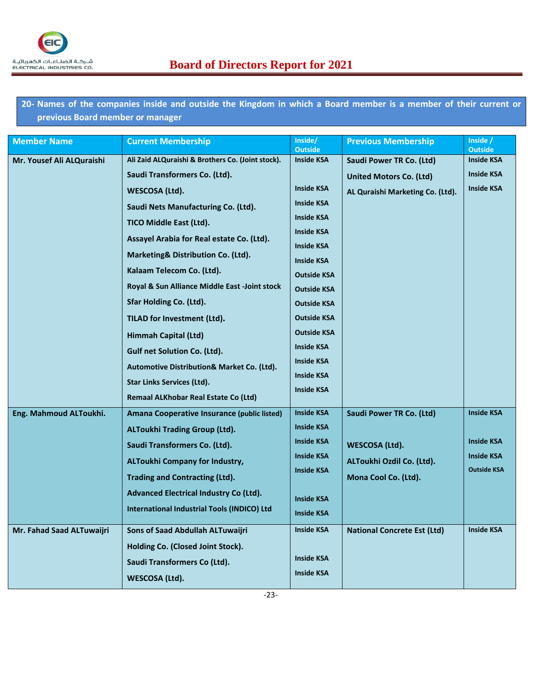

**20- Names of the companies inside and outside the Kingdom in which a Board member is a member of their current or previous Board member or manager**

| <b>Member Name</b>        | <b>Current Membership</b>                             | Inside/<br><b>Outside</b> | <b>Previous Membership</b>         | Inside /<br><b>Outside</b> |
|---------------------------|-------------------------------------------------------|---------------------------|------------------------------------|----------------------------|
| Mr. Yousef Ali ALQuraishi | Ali Zaid ALQuraishi & Brothers Co. (Joint stock).     | <b>Inside KSA</b>         | Saudi Power TR Co. (Ltd)           | <b>Inside KSA</b>          |
|                           | Saudi Transformers Co. (Ltd).                         |                           | United Motors Co. (Ltd)            | <b>Inside KSA</b>          |
|                           | WESCOSA (Ltd).                                        | <b>Inside KSA</b>         | AL Quraishi Marketing Co. (Ltd).   | <b>Inside KSA</b>          |
|                           | Saudi Nets Manufacturing Co. (Ltd).                   | <b>Inside KSA</b>         |                                    |                            |
|                           | TICO Middle East (Ltd).                               | <b>Inside KSA</b>         |                                    |                            |
|                           | Assayel Arabia for Real estate Co. (Ltd).             | <b>Inside KSA</b>         |                                    |                            |
|                           | Marketing& Distribution Co. (Ltd).                    | <b>Inside KSA</b>         |                                    |                            |
|                           | Kalaam Telecom Co. (Ltd).                             | <b>Inside KSA</b>         |                                    |                            |
|                           |                                                       | <b>Outside KSA</b>        |                                    |                            |
|                           | Royal & Sun Alliance Middle East -Joint stock         | <b>Outside KSA</b>        |                                    |                            |
|                           | Sfar Holding Co. (Ltd).                               | <b>Outside KSA</b>        |                                    |                            |
|                           | TILAD for Investment (Ltd).                           | <b>Outside KSA</b>        |                                    |                            |
|                           | Himmah Capital (Ltd)                                  | <b>Outside KSA</b>        |                                    |                            |
|                           | Gulf net Solution Co. (Ltd).                          | <b>Inside KSA</b>         |                                    |                            |
|                           | <b>Automotive Distribution&amp; Market Co. (Ltd).</b> | <b>Inside KSA</b>         |                                    |                            |
|                           | Star Links Services (Ltd).                            | <b>Inside KSA</b>         |                                    |                            |
|                           | <b>Remaal ALKhobar Real Estate Co (Ltd)</b>           | <b>Inside KSA</b>         |                                    |                            |
| Eng. Mahmoud ALToukhi.    | Amana Cooperative Insurance (public listed)           | <b>Inside KSA</b>         | <b>Saudi Power TR Co. (Ltd)</b>    | <b>Inside KSA</b>          |
|                           | <b>ALToukhi Trading Group (Ltd).</b>                  | <b>Inside KSA</b>         |                                    |                            |
|                           | Saudi Transformers Co. (Ltd).                         | <b>Inside KSA</b>         | WESCOSA (Ltd).                     | <b>Inside KSA</b>          |
|                           | <b>ALToukhi Company for Industry,</b>                 | <b>Inside KSA</b>         | ALToukhi Ozdil Co. (Ltd).          | <b>Inside KSA</b>          |
|                           | <b>Trading and Contracting (Ltd).</b>                 | <b>Inside KSA</b>         | Mona Cool Co. (Ltd).               | <b>Outside KSA</b>         |
|                           | <b>Advanced Electrical Industry Co (Ltd).</b>         |                           |                                    |                            |
|                           | International Industrial Tools (INDICO) Ltd           | <b>Inside KSA</b>         |                                    |                            |
|                           |                                                       | <b>Inside KSA</b>         |                                    |                            |
| Mr. Fahad Saad ALTuwaijri | Sons of Saad Abdullah ALTuwaijri                      | <b>Inside KSA</b>         | <b>National Concrete Est (Ltd)</b> | <b>Inside KSA</b>          |
|                           | Holding Co. (Closed Joint Stock).                     |                           |                                    |                            |
|                           | Saudi Transformers Co (Ltd).                          | <b>Inside KSA</b>         |                                    |                            |
|                           | WESCOSA (Ltd).                                        | <b>Inside KSA</b>         |                                    |                            |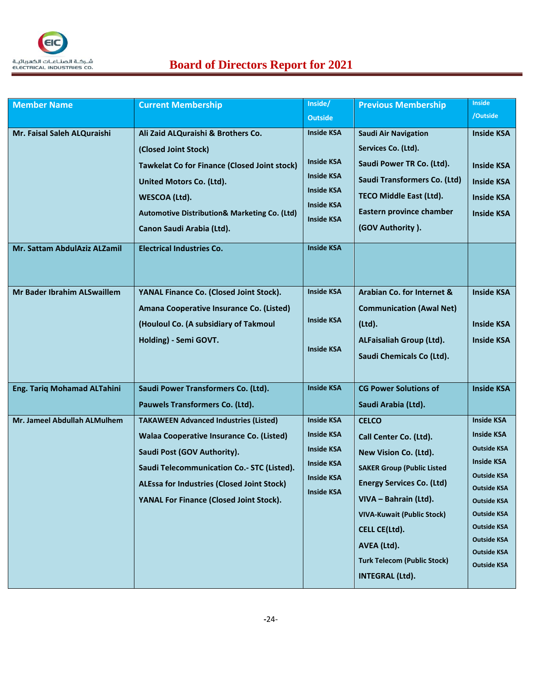

# $\frac{d\mu}{dt}$  **Board of Directors Report for 2021**

| <b>Member Name</b>                 | <b>Current Membership</b>                               | Inside/           | <b>Previous Membership</b>         | <b>Inside</b>                            |
|------------------------------------|---------------------------------------------------------|-------------------|------------------------------------|------------------------------------------|
|                                    |                                                         | <b>Outside</b>    |                                    | /Outside                                 |
| Mr. Faisal Saleh ALQuraishi        | Ali Zaid ALQuraishi & Brothers Co.                      | <b>Inside KSA</b> | <b>Saudi Air Navigation</b>        | <b>Inside KSA</b>                        |
|                                    | (Closed Joint Stock)                                    |                   | Services Co. (Ltd).                |                                          |
|                                    | <b>Tawkelat Co for Finance (Closed Joint stock)</b>     | <b>Inside KSA</b> | Saudi Power TR Co. (Ltd).          | <b>Inside KSA</b>                        |
|                                    | United Motors Co. (Ltd).                                | <b>Inside KSA</b> | Saudi Transformers Co. (Ltd)       | <b>Inside KSA</b>                        |
|                                    | WESCOA (Ltd).                                           | <b>Inside KSA</b> | <b>TECO Middle East (Ltd).</b>     | <b>Inside KSA</b>                        |
|                                    | <b>Automotive Distribution&amp; Marketing Co. (Ltd)</b> | <b>Inside KSA</b> | Eastern province chamber           | <b>Inside KSA</b>                        |
|                                    | Canon Saudi Arabia (Ltd).                               | <b>Inside KSA</b> | (GOV Authority).                   |                                          |
|                                    |                                                         |                   |                                    |                                          |
| Mr. Sattam AbdulAziz ALZamil       | <b>Electrical Industries Co.</b>                        | <b>Inside KSA</b> |                                    |                                          |
|                                    |                                                         |                   |                                    |                                          |
|                                    |                                                         | <b>Inside KSA</b> |                                    |                                          |
| Mr Bader Ibrahim ALSwaillem        | YANAL Finance Co. (Closed Joint Stock).                 |                   | Arabian Co. for Internet &         | <b>Inside KSA</b>                        |
|                                    | Amana Cooperative Insurance Co. (Listed)                | <b>Inside KSA</b> | <b>Communication (Awal Net)</b>    |                                          |
|                                    | (Houloul Co. (A subsidiary of Takmoul                   |                   | (Ltd).                             | <b>Inside KSA</b>                        |
|                                    | Holding) - Semi GOVT.                                   | <b>Inside KSA</b> | ALFaisaliah Group (Ltd).           | <b>Inside KSA</b>                        |
|                                    |                                                         |                   | Saudi Chemicals Co (Ltd).          |                                          |
|                                    |                                                         |                   |                                    |                                          |
| <b>Eng. Tariq Mohamad ALTahini</b> | Saudi Power Transformers Co. (Ltd).                     | <b>Inside KSA</b> | <b>CG Power Solutions of</b>       | <b>Inside KSA</b>                        |
|                                    | Pauwels Transformers Co. (Ltd).                         |                   | Saudi Arabia (Ltd).                |                                          |
| Mr. Jameel Abdullah ALMulhem       | <b>TAKAWEEN Advanced Industries (Listed)</b>            | <b>Inside KSA</b> | <b>CELCO</b>                       | <b>Inside KSA</b>                        |
|                                    | Walaa Cooperative Insurance Co. (Listed)                | <b>Inside KSA</b> | Call Center Co. (Ltd).             | <b>Inside KSA</b>                        |
|                                    | Saudi Post (GOV Authority).                             | <b>Inside KSA</b> | New Vision Co. (Ltd).              | <b>Outside KSA</b>                       |
|                                    | Saudi Telecommunication Co.- STC (Listed).              | <b>Inside KSA</b> | <b>SAKER Group (Public Listed</b>  | <b>Inside KSA</b>                        |
|                                    | <b>ALEssa for Industries (Closed Joint Stock)</b>       | <b>Inside KSA</b> | <b>Energy Services Co. (Ltd)</b>   | <b>Outside KSA</b><br><b>Outside KSA</b> |
|                                    | <b>YANAL For Finance (Closed Joint Stock).</b>          | <b>Inside KSA</b> | VIVA - Bahrain (Ltd).              | <b>Outside KSA</b>                       |
|                                    |                                                         |                   | <b>VIVA-Kuwait (Public Stock)</b>  | <b>Outside KSA</b>                       |
|                                    |                                                         |                   | CELL CE(Ltd).                      | Outside KSA                              |
|                                    |                                                         |                   | AVEA (Ltd).                        | <b>Outside KSA</b>                       |
|                                    |                                                         |                   | <b>Turk Telecom (Public Stock)</b> | <b>Outside KSA</b>                       |
|                                    |                                                         |                   | <b>INTEGRAL (Ltd).</b>             | <b>Outside KSA</b>                       |
|                                    |                                                         |                   |                                    |                                          |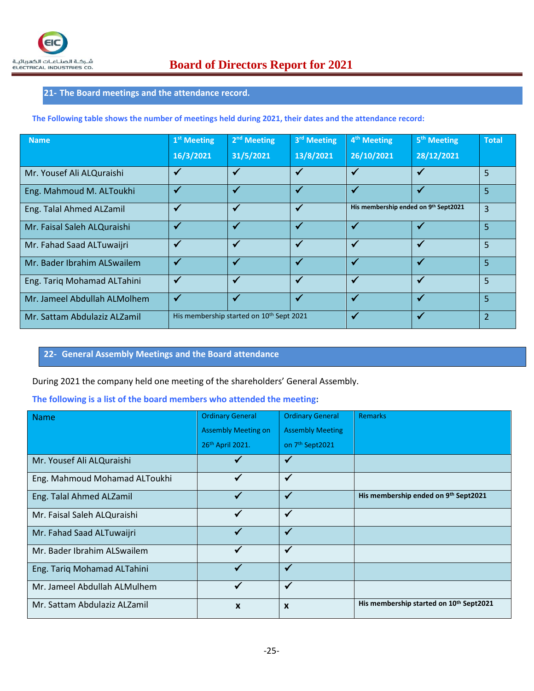## **21- The Board meetings and the attendance record.**

**The Following table shows the number of meetings held during 2021, their dates and the attendance record:**

| <b>Name</b>                  | 1 <sup>st</sup> Meeting | $2nd$ Meeting                            | 3rd Meeting  | 4 <sup>th</sup> Meeting              | 5 <sup>th</sup> Meeting | <b>Total</b>   |
|------------------------------|-------------------------|------------------------------------------|--------------|--------------------------------------|-------------------------|----------------|
|                              | 16/3/2021               | 31/5/2021                                | 13/8/2021    | 26/10/2021                           | 28/12/2021              |                |
| Mr. Yousef Ali ALQuraishi    | $\checkmark$            | $\checkmark$                             | $\checkmark$ | $\checkmark$                         | $\checkmark$            | 5              |
| Eng. Mahmoud M. ALToukhi     | $\checkmark$            | $\checkmark$                             | ✓            | $\checkmark$                         | $\checkmark$            | 5              |
| Eng. Talal Ahmed ALZamil     | $\checkmark$            | ✔                                        |              | His membership ended on 9th Sept2021 |                         | $\overline{3}$ |
| Mr. Faisal Saleh ALQuraishi  | $\checkmark$            | $\checkmark$                             | $\checkmark$ | $\checkmark$                         |                         | $\overline{5}$ |
| Mr. Fahad Saad ALTuwaijri    | $\checkmark$            | $\checkmark$                             | $\checkmark$ | $\checkmark$                         | $\checkmark$            | $\overline{5}$ |
| Mr. Bader Ibrahim ALSwailem  | $\checkmark$            | $\checkmark$                             | $\checkmark$ | $\checkmark$                         | $\checkmark$            | 5              |
| Eng. Tariq Mohamad ALTahini  | $\checkmark$            | $\checkmark$                             | $\checkmark$ | $\checkmark$                         | $\checkmark$            | 5              |
| Mr. Jameel Abdullah ALMolhem | $\checkmark$            | $\checkmark$                             | $\checkmark$ | $\checkmark$                         | ✔                       | 5              |
| Mr. Sattam Abdulaziz ALZamil |                         | His membership started on 10th Sept 2021 |              | $\overline{\mathbf{v}}$              | √                       | $\overline{2}$ |

#### **22- General Assembly Meetings and the Board attendance**

During 2021 the company held one meeting of the shareholders' General Assembly.

#### **The following is a list of the board members who attended the meeting:**

| <b>Name</b>                   | <b>Ordinary General</b>    | <b>Ordinary General</b>     | Remarks                                             |
|-------------------------------|----------------------------|-----------------------------|-----------------------------------------------------|
|                               | <b>Assembly Meeting on</b> | <b>Assembly Meeting</b>     |                                                     |
|                               | 26th April 2021.           | on 7 <sup>th</sup> Sept2021 |                                                     |
| Mr. Yousef Ali ALQuraishi     |                            | ✔                           |                                                     |
| Eng. Mahmoud Mohamad ALToukhi | $\checkmark$               | $\checkmark$                |                                                     |
| Eng. Talal Ahmed ALZamil      | ✓                          | ✔                           | His membership ended on 9th Sept2021                |
| Mr. Faisal Saleh ALQuraishi   |                            | $\checkmark$                |                                                     |
| Mr. Fahad Saad ALTuwaijri     | ✓                          | ✔                           |                                                     |
| Mr. Bader Ibrahim ALSwailem   | ✓                          | $\checkmark$                |                                                     |
| Eng. Tariq Mohamad ALTahini   | ✓                          | ✔                           |                                                     |
| Mr. Jameel Abdullah ALMulhem  | ✓                          | $\checkmark$                |                                                     |
| Mr. Sattam Abdulaziz ALZamil  | $\boldsymbol{x}$           | $\boldsymbol{x}$            | His membership started on 10 <sup>th</sup> Sept2021 |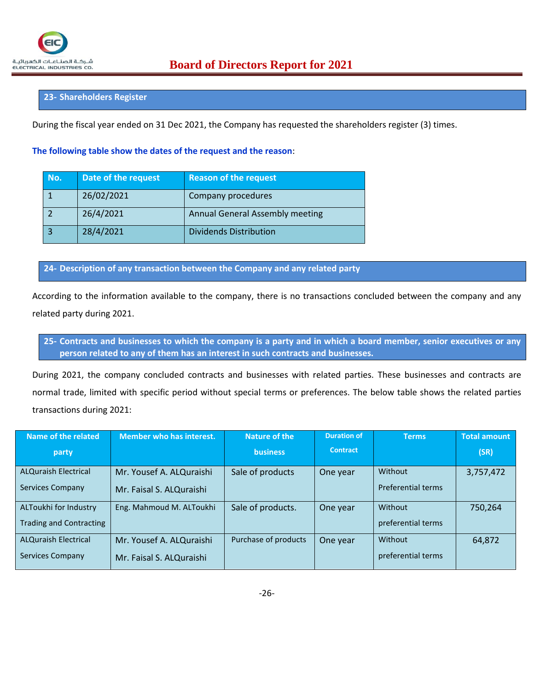#### **23- Shareholders Register**

During the fiscal year ended on 31 Dec 2021, the Company has requested the shareholders register (3) times.

#### **The following table show the dates of the request and the reason**:

| No. | Date of the request | <b>Reason of the request</b>    |
|-----|---------------------|---------------------------------|
|     | 26/02/2021          | Company procedures              |
|     | 26/4/2021           | Annual General Assembly meeting |
|     | 28/4/2021           | <b>Dividends Distribution</b>   |

**24- Description of any transaction between the Company and any related party**

According to the information available to the company, there is no transactions concluded between the company and any related party during 2021.

**25- Contracts and businesses to which the company is a party and in which a board member, senior executives or any person related to any of them has an interest in such contracts and businesses.**

During 2021, the company concluded contracts and businesses with related parties. These businesses and contracts are normal trade, limited with specific period without special terms or preferences. The below table shows the related parties transactions during 2021:

| Name of the related            | <b>Member who has interest.</b> | Nature of the        | <b>Duration of</b> | <b>Terms</b>              | <b>Total amount</b> |
|--------------------------------|---------------------------------|----------------------|--------------------|---------------------------|---------------------|
| party                          |                                 | <b>business</b>      | <b>Contract</b>    |                           | (SR)                |
| <b>ALQuraish Electrical</b>    | Mr. Yousef A. ALQuraishi        | Sale of products     | One year           | Without                   | 3,757,472           |
| Services Company               | Mr. Faisal S. ALQuraishi        |                      |                    | <b>Preferential terms</b> |                     |
| ALToukhi for Industry          | Eng. Mahmoud M. ALToukhi        | Sale of products.    | One year           | Without                   | 750,264             |
| <b>Trading and Contracting</b> |                                 |                      |                    | preferential terms        |                     |
| <b>ALQuraish Electrical</b>    | Mr. Yousef A. ALQuraishi        | Purchase of products | One year           | Without                   | 64,872              |
| <b>Services Company</b>        | Mr. Faisal S. ALQuraishi        |                      |                    | preferential terms        |                     |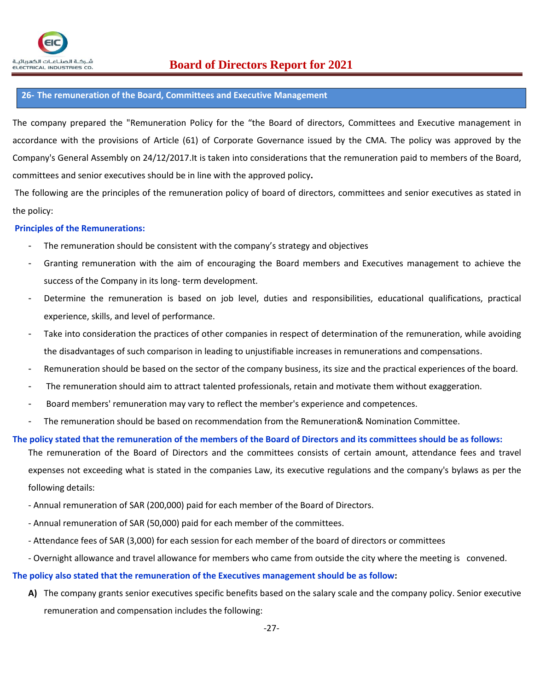## **26- The remuneration of the Board, Committees and Executive Management**

The company prepared the "Remuneration Policy for the "the Board of directors, Committees and Executive management in accordance with the provisions of Article (61) of Corporate Governance issued by the CMA. The policy was approved by the Company's General Assembly on 24/12/2017.It is taken into considerations that the remuneration paid to members of the Board, committees and senior executives should be in line with the approved policy**.**

The following are the principles of the remuneration policy of board of directors, committees and senior executives as stated in the policy:

## **Principles of the Remunerations:**

- The remuneration should be consistent with the company's strategy and objectives
- Granting remuneration with the aim of encouraging the Board members and Executives management to achieve the success of the Company in its long- term development.
- Determine the remuneration is based on job level, duties and responsibilities, educational qualifications, practical experience, skills, and level of performance.
- Take into consideration the practices of other companies in respect of determination of the remuneration, while avoiding the disadvantages of such comparison in leading to unjustifiable increases in remunerations and compensations.
- Remuneration should be based on the sector of the company business, its size and the practical experiences of the board.
- The remuneration should aim to attract talented professionals, retain and motivate them without exaggeration.
- Board members' remuneration may vary to reflect the member's experience and competences.
- The remuneration should be based on recommendation from the Remuneration& Nomination Committee.

## **The policy stated that the remuneration of the members of the Board of Directors and its committees should be as follows:**

The remuneration of the Board of Directors and the committees consists of certain amount, attendance fees and travel expenses not exceeding what is stated in the companies Law, its executive regulations and the company's bylaws as per the following details:

- Annual remuneration of SAR (200,000) paid for each member of the Board of Directors.
- Annual remuneration of SAR (50,000) paid for each member of the committees.
- Attendance fees of SAR (3,000) for each session for each member of the board of directors or committees
- Overnight allowance and travel allowance for members who came from outside the city where the meeting is convened.

## **The policy also stated that the remuneration of the Executives management should be as follow:**

**A)** The company grants senior executives specific benefits based on the salary scale and the company policy. Senior executive remuneration and compensation includes the following: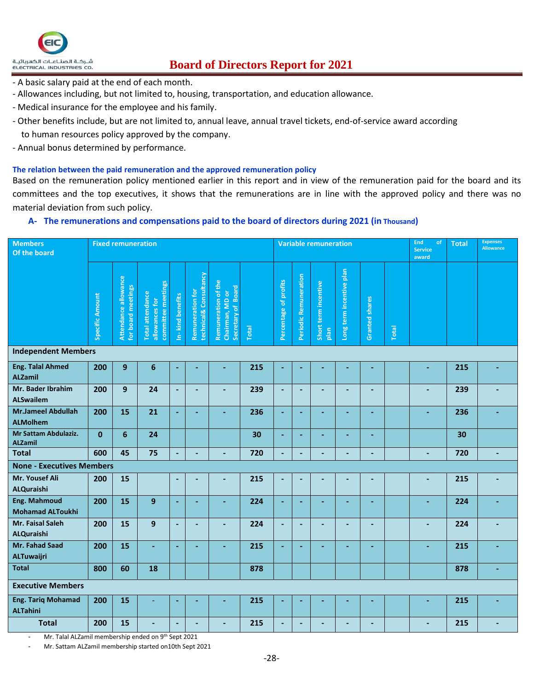

# $\frac{1}{\text{Euler}}$   $\frac{1}{\text{Euler}}$   $\frac{1}{\text{Euler}}$   $\frac{1}{\text{Euler}}$   $\frac{1}{\text{Euler}}$   $\frac{1}{\text{Euler}}$   $\frac{2021}{\text{Euler}}$

- A basic salary paid at the end of each month.
- Allowances including, but not limited to, housing, transportation, and education allowance.
- Medical insurance for the employee and his family.
- Other benefits include, but are not limited to, annual leave, annual travel tickets, end-of-service award according to human resources policy approved by the company.
- Annual bonus determined by performance.

#### **The relation between the paid remuneration and the approved remuneration policy**

Based on the remuneration policy mentioned earlier in this report and in view of the remuneration paid for the board and its committees and the top executives, it shows that the remunerations are in line with the approved policy and there was no material deviation from such policy.

#### **A- The remunerations and compensations paid to the board of directors during 2021 (in Thousand)**

| <b>Members</b><br>Of the board                 | <b>Fixed remuneration</b> |                                            |                                                                 |                  | <b>Variable remuneration</b>               |                                                              |       |                          | End<br>of<br><b>Service</b><br>award | <b>Total</b>                 | <b>Expenses</b><br><b>Allowance</b> |                       |       |                |     |   |
|------------------------------------------------|---------------------------|--------------------------------------------|-----------------------------------------------------------------|------------------|--------------------------------------------|--------------------------------------------------------------|-------|--------------------------|--------------------------------------|------------------------------|-------------------------------------|-----------------------|-------|----------------|-----|---|
|                                                | Specific Amount           | Attendance allowance<br>for board meetings | committee meetings<br><b>Total attendance</b><br>allowances for | In-kind benefits | Remuneration for<br>technical& Consultancy | Remuneration of the<br>Secretary of Board<br>Chairman, MD or | Total | Percentage of profits    | Periodic Remuneration                | Short term incentive<br>plan | Long term incentive plan            | <b>Granted shares</b> | Total |                |     |   |
| <b>Independent Members</b>                     |                           |                                            |                                                                 |                  |                                            |                                                              |       |                          |                                      |                              |                                     |                       |       |                |     |   |
| <b>Eng. Talal Ahmed</b><br><b>ALZamil</b>      | 200                       | 9                                          | $6\phantom{1}$                                                  |                  |                                            |                                                              | 215   | L,                       |                                      |                              |                                     |                       |       |                | 215 |   |
| Mr. Bader Ibrahim<br><b>ALSwailem</b>          | 200                       | 9                                          | 24                                                              | ٠                |                                            |                                                              | 239   | $\overline{\phantom{a}}$ |                                      |                              |                                     |                       |       | ۳              | 239 |   |
| <b>Mr.Jameel Abdullah</b><br><b>ALMolhem</b>   | 200                       | 15                                         | 21                                                              | ÷                | ٠                                          |                                                              | 236   | $\blacksquare$           |                                      |                              |                                     | ۰                     |       | L,             | 236 |   |
| Mr Sattam Abdulaziz.<br><b>ALZamil</b>         | $\mathbf{0}$              | 6                                          | 24                                                              |                  |                                            |                                                              | 30    | $\sim$                   |                                      |                              |                                     | ÷                     |       |                | 30  |   |
| <b>Total</b>                                   | 600                       | 45                                         | 75                                                              |                  |                                            |                                                              | 720   | L.                       |                                      |                              |                                     |                       |       |                | 720 |   |
| <b>None - Executives Members</b>               |                           |                                            |                                                                 |                  |                                            |                                                              |       |                          |                                      |                              |                                     |                       |       |                |     |   |
| Mr. Yousef Ali<br><b>ALQuraishi</b>            | 200                       | 15                                         |                                                                 | ÷                |                                            | $\overline{\phantom{a}}$                                     | 215   | $\overline{\phantom{a}}$ |                                      |                              |                                     |                       |       | ÷,             | 215 |   |
| <b>Eng. Mahmoud</b><br><b>Mohamad ALToukhi</b> | 200                       | 15                                         | 9                                                               |                  |                                            |                                                              | 224   | ÷                        |                                      |                              |                                     |                       |       | ÷              | 224 |   |
| Mr. Faisal Saleh<br><b>ALQuraishi</b>          | 200                       | 15                                         | 9                                                               | $\overline{a}$   | $\overline{a}$                             |                                                              | 224   | $\blacksquare$           | $\overline{a}$                       |                              |                                     | $\overline{a}$        |       | $\overline{a}$ | 224 |   |
| Mr. Fahad Saad<br><b>ALTuwaijri</b>            | 200                       | 15                                         | ÷                                                               | ÷                | $\overline{\phantom{a}}$                   | ÷                                                            | 215   | ÷.                       |                                      |                              |                                     | ÷                     |       | ÷              | 215 |   |
| <b>Total</b>                                   | 800                       | 60                                         | 18                                                              |                  |                                            |                                                              | 878   |                          |                                      |                              |                                     |                       |       |                | 878 | ÷ |
| <b>Executive Members</b>                       |                           |                                            |                                                                 |                  |                                            |                                                              |       |                          |                                      |                              |                                     |                       |       |                |     |   |
| <b>Eng. Tariq Mohamad</b><br><b>ALTahini</b>   | 200                       | 15                                         |                                                                 |                  |                                            |                                                              | 215   |                          |                                      |                              |                                     |                       |       |                | 215 |   |
| <b>Total</b>                                   | 200                       | 15                                         |                                                                 |                  |                                            |                                                              | 215   |                          |                                      |                              |                                     |                       |       |                | 215 |   |

Mr. Talal ALZamil membership ended on 9<sup>th</sup> Sept 2021

Mr. Sattam ALZamil membership started on10th Sept 2021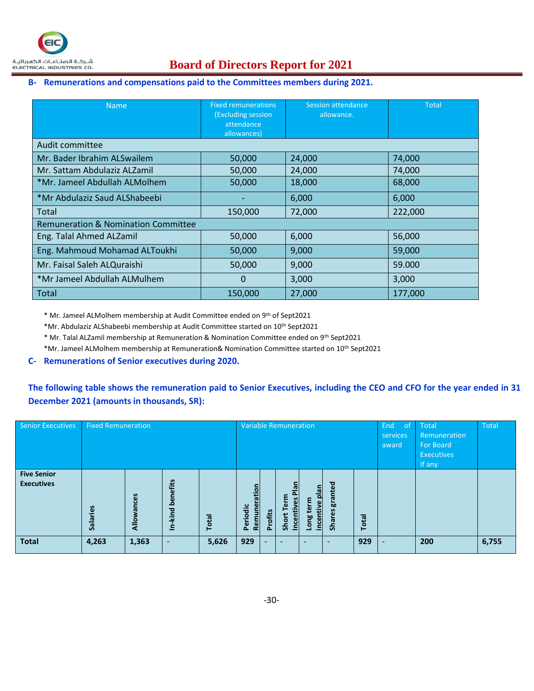

# $\frac{1}{2}$ شركـة الصناعـات الكعربائيـة **Board of Directors Report for 2021**

#### **B- Remunerations and compensations paid to the Committees members during 2021.**

| <b>Name</b>                                    | <b>Fixed remunerations</b><br><b>(Excluding session</b><br>attendance<br>allowances) | Session attendance<br>allowance. | <b>Total</b> |
|------------------------------------------------|--------------------------------------------------------------------------------------|----------------------------------|--------------|
| Audit committee                                |                                                                                      |                                  |              |
| Mr. Bader Ibrahim ALSwailem                    | 50,000                                                                               | 24,000                           | 74,000       |
| Mr. Sattam Abdulaziz ALZamil                   | 50,000                                                                               | 24,000                           | 74,000       |
| *Mr. Jameel Abdullah ALMolhem                  | 50,000                                                                               | 18,000                           | 68,000       |
| *Mr Abdulaziz Saud ALShabeebi                  |                                                                                      | 6,000                            | 6,000        |
| Total                                          | 150,000                                                                              | 72,000                           | 222,000      |
| <b>Remuneration &amp; Nomination Committee</b> |                                                                                      |                                  |              |
| Eng. Talal Ahmed ALZamil                       | 50,000                                                                               | 6,000                            | 56,000       |
| Eng. Mahmoud Mohamad ALToukhi                  | 50,000                                                                               | 9,000                            | 59,000       |
| Mr. Faisal Saleh ALQuraishi                    | 50,000                                                                               | 9,000                            | 59.000       |
| *Mr Jameel Abdullah ALMulhem                   | 0                                                                                    | 3,000                            | 3,000        |
| Total                                          | 150,000                                                                              | 27,000                           | 177,000      |

\* Mr. Jameel ALMolhem membership at Audit Committee ended on 9th of Sept2021

\*Mr. Abdulaziz ALShabeebi membership at Audit Committee started on 10th Sept2021

\* Mr. Talal ALZamil membership at Remuneration & Nomination Committee ended on 9th Sept2021

\*Mr. Jameel ALMolhem membership at Remuneration& Nomination Committee started on 10th Sept2021

#### **C- Remunerations of Senior executives during 2020.**

## **The following table shows the remuneration paid to Senior Executives, including the CEO and CFO for the year ended in 31 December 2021 (amounts in thousands, SR):**

| <b>Senior Executives</b>                | <b>Fixed Remuneration</b> |                |                            | <b>Variable Remuneration</b> |                                           |                    |                           | End.<br>of<br>services<br>award | Total<br>Remuneration<br><b>For Board</b><br><b>Executives</b><br>If any | Total |  |     |       |
|-----------------------------------------|---------------------------|----------------|----------------------------|------------------------------|-------------------------------------------|--------------------|---------------------------|---------------------------------|--------------------------------------------------------------------------|-------|--|-----|-------|
| <b>Five Senior</b><br><b>Executives</b> | Salaries                  | ances<br>Allow | nefits<br>ق<br>짇<br>چ<br>Ξ | Total                        | ation<br>ω۱<br>Periodic<br>Ē<br><b>Re</b> | rofits<br>$\Delta$ | ō<br>Short<br><u>Ince</u> | nela<br>incentive<br>靊<br>Long  | 핆<br>gra<br>res<br>Shai                                                  | Total |  |     |       |
| <b>Total</b>                            | 4,263                     | 1,363          |                            | 5,626                        | 929                                       | ٠                  |                           |                                 |                                                                          | 929   |  | 200 | 6,755 |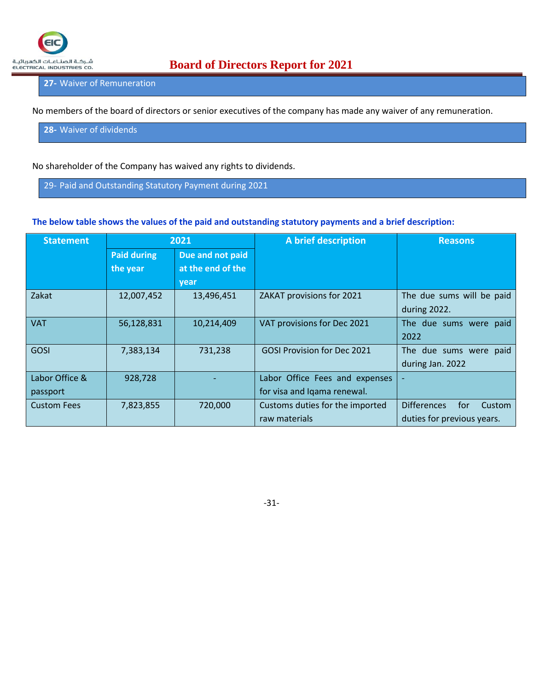

## **27-** Waiver of Remuneration

No members of the board of directors or senior executives of the company has made any waiver of any remuneration.

**28-** Waiver of dividends

No shareholder of the Company has waived any rights to dividends.

29- Paid and Outstanding Statutory Payment during 2021

#### **The below table shows the values of the paid and outstanding statutory payments and a brief description:**

| <b>Statement</b>   | 2021               |                   | A brief description             | <b>Reasons</b>                      |  |  |
|--------------------|--------------------|-------------------|---------------------------------|-------------------------------------|--|--|
|                    | <b>Paid during</b> | Due and not paid  |                                 |                                     |  |  |
|                    | the year           | at the end of the |                                 |                                     |  |  |
|                    |                    | year              |                                 |                                     |  |  |
| Zakat              | 12,007,452         | 13,496,451        | ZAKAT provisions for 2021       | The due sums will be paid           |  |  |
|                    |                    |                   |                                 | during 2022.                        |  |  |
| <b>VAT</b>         | 56,128,831         | 10,214,409        | VAT provisions for Dec 2021     | The due sums were paid              |  |  |
|                    |                    |                   |                                 | 2022                                |  |  |
| <b>GOSI</b>        | 7,383,134          | 731,238           | GOSI Provision for Dec 2021     | The due sums were paid              |  |  |
|                    |                    |                   |                                 | during Jan. 2022                    |  |  |
| Labor Office &     | 928,728            |                   | Labor Office Fees and expenses  | ٠                                   |  |  |
| passport           |                    |                   | for visa and Iqama renewal.     |                                     |  |  |
| <b>Custom Fees</b> | 7,823,855          | 720,000           | Customs duties for the imported | <b>Differences</b><br>for<br>Custom |  |  |
|                    |                    |                   | raw materials                   | duties for previous years.          |  |  |

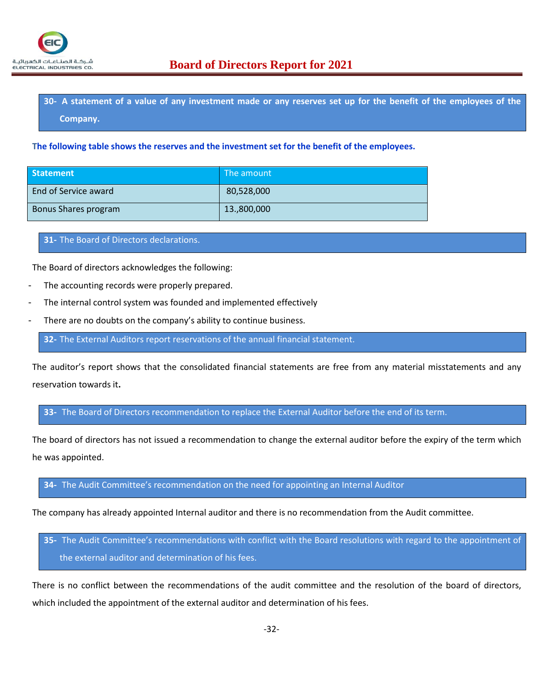

**30- A statement of a value of any investment made or any reserves set up for the benefit of the employees of the Company.**

**The following table shows the reserves and the investment set for the benefit of the employees.**

| <b>Statement</b>     | The amount  |
|----------------------|-------------|
| End of Service award | 80,528,000  |
| Bonus Shares program | 13.,800,000 |

**31-** The Board of Directors declarations.

The Board of directors acknowledges the following:

- The accounting records were properly prepared.
- The internal control system was founded and implemented effectively
- There are no doubts on the company's ability to continue business.

**32-** The External Auditors report reservations of the annual financial statement.

The auditor's report shows that the consolidated financial statements are free from any material misstatements and any reservation towards it**.**

**33-** The Board of Directors recommendation to replace the External Auditor before the end of its term.

The board of directors has not issued a recommendation to change the external auditor before the expiry of the term which he was appointed.

**34-** The Audit Committee's recommendation on the need for appointing an Internal Auditor

The company has already appointed Internal auditor and there is no recommendation from the Audit committee.

**35-** The Audit Committee's recommendations with conflict with the Board resolutions with regard to the appointment of the external auditor and determination of his fees.

There is no conflict between the recommendations of the audit committee and the resolution of the board of directors, which included the appointment of the external auditor and determination of his fees.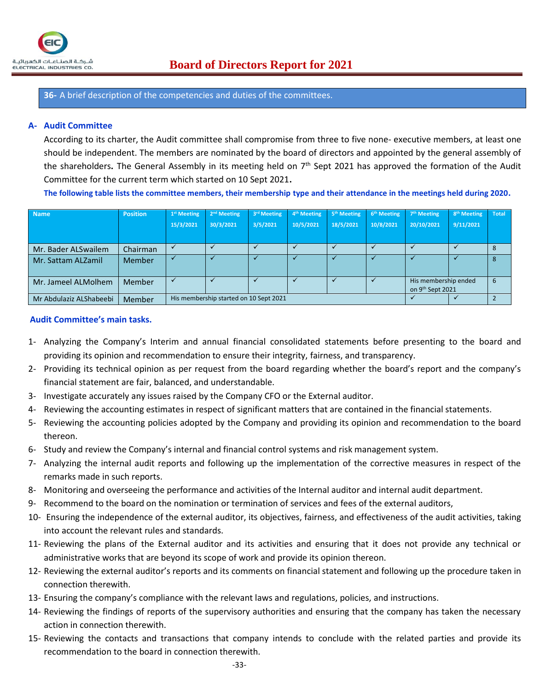

**36-** A brief description of the competencies and duties of the committees.

#### **A- Audit Committee**

According to its charter, the Audit committee shall compromise from three to five none- executive members, at least one should be independent. The members are nominated by the board of directors and appointed by the general assembly of the shareholders**.** The General Assembly in its meeting held on 7th Sept 2021 has approved the formation of the Audit Committee for the current term which started on 10 Sept 2021**.**

**The following table lists the committee members, their membership type and their attendance in the meetings held during 2020.**

| <b>Name</b>             | <b>Position</b> | 1 <sup>st</sup> Meeting                              | 2 <sup>nd</sup> Meeting | 3rd Meeting | 4 <sup>th</sup> Meeting | 5 <sup>th</sup> Meeting | 6 <sup>th</sup> Meeting | 7 <sup>th</sup> Meeting | 8 <sup>th</sup> Meeting | <b>Total</b> |
|-------------------------|-----------------|------------------------------------------------------|-------------------------|-------------|-------------------------|-------------------------|-------------------------|-------------------------|-------------------------|--------------|
|                         |                 | 15/3/2021                                            | 30/3/2021               | 3/5/2021    | 10/5/2021               | 18/5/2021               | 10/8/2021               | 20/10/2021              | 9/11/2021               |              |
|                         |                 |                                                      |                         |             |                         |                         |                         |                         |                         |              |
| Mr. Bader ALSwailem     | Chairman        |                                                      |                         |             |                         |                         |                         |                         |                         |              |
| Mr. Sattam ALZamil      | <b>Member</b>   |                                                      |                         |             |                         |                         |                         |                         |                         | 8            |
| Mr. Jameel ALMolhem     | Member          | His membership ended<br>on 9 <sup>th</sup> Sept 2021 |                         |             |                         |                         | 6                       |                         |                         |              |
| Mr Abdulaziz ALShabeebi | Member          | His membership started on 10 Sept 2021               |                         |             |                         |                         |                         |                         |                         |              |

#### **Audit Committee's main tasks.**

- 1- Analyzing the Company's Interim and annual financial consolidated statements before presenting to the board and providing its opinion and recommendation to ensure their integrity, fairness, and transparency.
- 2- Providing its technical opinion as per request from the board regarding whether the board's report and the company's financial statement are fair, balanced, and understandable.
- 3- Investigate accurately any issues raised by the Company CFO or the External auditor.
- 4- Reviewing the accounting estimates in respect of significant matters that are contained in the financial statements.
- 5- Reviewing the accounting policies adopted by the Company and providing its opinion and recommendation to the board thereon.
- 6- Study and review the Company's internal and financial control systems and risk management system.
- 7- Analyzing the internal audit reports and following up the implementation of the corrective measures in respect of the remarks made in such reports.
- 8- Monitoring and overseeing the performance and activities of the Internal auditor and internal audit department.
- 9- Recommend to the board on the nomination or termination of services and fees of the external auditors,
- 10- Ensuring the independence of the external auditor, its objectives, fairness, and effectiveness of the audit activities, taking into account the relevant rules and standards.
- 11- Reviewing the plans of the External auditor and its activities and ensuring that it does not provide any technical or administrative works that are beyond its scope of work and provide its opinion thereon.
- 12- Reviewing the external auditor's reports and its comments on financial statement and following up the procedure taken in connection therewith.
- 13- Ensuring the company's compliance with the relevant laws and regulations, policies, and instructions.
- 14- Reviewing the findings of reports of the supervisory authorities and ensuring that the company has taken the necessary action in connection therewith.
- 15- Reviewing the contacts and transactions that company intends to conclude with the related parties and provide its recommendation to the board in connection therewith.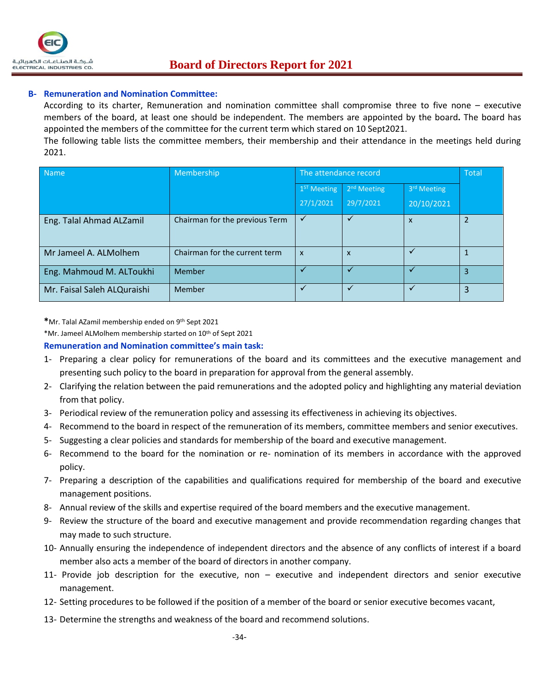

### **B- Remuneration and Nomination Committee:**

According to its charter, Remuneration and nomination committee shall compromise three to five none – executive members of the board, at least one should be independent. The members are appointed by the board**.** The board has appointed the members of the committee for the current term which stared on 10 Sept2021.

The following table lists the committee members, their membership and their attendance in the meetings held during 2021.

| Name                        | Membership                     | The attendance record   | <b>Total</b>            |                           |   |
|-----------------------------|--------------------------------|-------------------------|-------------------------|---------------------------|---|
|                             |                                | 1 <sup>ST</sup> Meeting | 2 <sup>nd</sup> Meeting | 3rd Meeting               |   |
|                             |                                | 27/1/2021               | 29/7/2021               | 20/10/2021                |   |
| Eng. Talal Ahmad ALZamil    | Chairman for the previous Term |                         |                         | $\boldsymbol{\mathsf{x}}$ |   |
| Mr Jameel A. ALMolhem       | Chairman for the current term  | $\mathsf{x}$            | $\mathsf{x}$            |                           |   |
| Eng. Mahmoud M. ALToukhi    | <b>Member</b>                  |                         |                         |                           | 3 |
| Mr. Faisal Saleh ALQuraishi | <b>Member</b>                  |                         |                         |                           | 3 |

**\***Mr. Talal AZamil membership ended on 9th Sept 2021

\*Mr. Jameel ALMolhem membership started on 10th of Sept 2021

#### **Remuneration and Nomination committee's main task:**

- 1- Preparing a clear policy for remunerations of the board and its committees and the executive management and presenting such policy to the board in preparation for approval from the general assembly.
- 2- Clarifying the relation between the paid remunerations and the adopted policy and highlighting any material deviation from that policy.
- 3- Periodical review of the remuneration policy and assessing its effectiveness in achieving its objectives.
- 4- Recommend to the board in respect of the remuneration of its members, committee members and senior executives.
- 5- Suggesting a clear policies and standards for membership of the board and executive management.
- 6- Recommend to the board for the nomination or re- nomination of its members in accordance with the approved policy.
- 7- Preparing a description of the capabilities and qualifications required for membership of the board and executive management positions.
- 8- Annual review of the skills and expertise required of the board members and the executive management.
- 9- Review the structure of the board and executive management and provide recommendation regarding changes that may made to such structure.
- 10- Annually ensuring the independence of independent directors and the absence of any conflicts of interest if a board member also acts a member of the board of directors in another company.
- 11- Provide job description for the executive, non executive and independent directors and senior executive management.
- 12- Setting procedures to be followed if the position of a member of the board or senior executive becomes vacant,
- 13- Determine the strengths and weakness of the board and recommend solutions.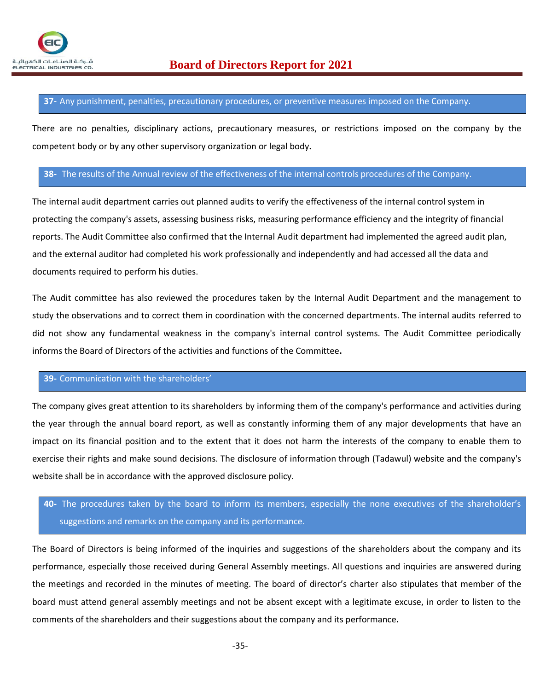#### **37-** Any punishment, penalties, precautionary procedures, or preventive measures imposed on the Company.

There are no penalties, disciplinary actions, precautionary measures, or restrictions imposed on the company by the competent body or by any other supervisory organization or legal body**.**

#### **38-** The results of the Annual review of the effectiveness of the internal controls procedures of the Company.

The internal audit department carries out planned audits to verify the effectiveness of the internal control system in protecting the company's assets, assessing business risks, measuring performance efficiency and the integrity of financial reports. The Audit Committee also confirmed that the Internal Audit department had implemented the agreed audit plan, and the external auditor had completed his work professionally and independently and had accessed all the data and documents required to perform his duties.

The Audit committee has also reviewed the procedures taken by the Internal Audit Department and the management to study the observations and to correct them in coordination with the concerned departments. The internal audits referred to did not show any fundamental weakness in the company's internal control systems. The Audit Committee periodically informs the Board of Directors of the activities and functions of the Committee**.**

#### **39-** Communication with the shareholders'

The company gives great attention to its shareholders by informing them of the company's performance and activities during the year through the annual board report, as well as constantly informing them of any major developments that have an impact on its financial position and to the extent that it does not harm the interests of the company to enable them to exercise their rights and make sound decisions. The disclosure of information through (Tadawul) website and the company's website shall be in accordance with the approved disclosure policy.

# **40-** The procedures taken by the board to inform its members, especially the none executives of the shareholder's suggestions and remarks on the company and its performance.

The Board of Directors is being informed of the inquiries and suggestions of the shareholders about the company and its performance, especially those received during General Assembly meetings. All questions and inquiries are answered during the meetings and recorded in the minutes of meeting. The board of director's charter also stipulates that member of the board must attend general assembly meetings and not be absent except with a legitimate excuse, in order to listen to the comments of the shareholders and their suggestions about the company and its performance**.**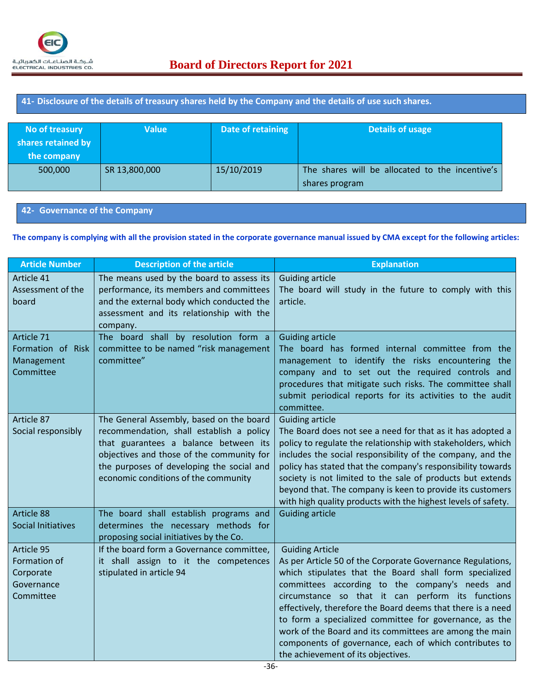## **41- Disclosure of the details of treasury shares held by the Company and the details of use such shares.**

| No of treasury<br>shares retained by<br>the company | <b>Value</b>  | Date of retaining | Details of usage                                                  |
|-----------------------------------------------------|---------------|-------------------|-------------------------------------------------------------------|
| 500,000                                             | SR 13,800,000 | 15/10/2019        | The shares will be allocated to the incentive's<br>shares program |

#### **42- Governance of the Company**

#### **The company is complying with all the provision stated in the corporate governance manual issued by CMA except for the following articles:**

| <b>Article Number</b>                                              | <b>Description of the article</b>                                                                                                                                                                                                                               | <b>Explanation</b>                                                                                                                                                                                                                                                                                                                                                                                                                                                                                                                         |
|--------------------------------------------------------------------|-----------------------------------------------------------------------------------------------------------------------------------------------------------------------------------------------------------------------------------------------------------------|--------------------------------------------------------------------------------------------------------------------------------------------------------------------------------------------------------------------------------------------------------------------------------------------------------------------------------------------------------------------------------------------------------------------------------------------------------------------------------------------------------------------------------------------|
| Article 41<br>Assessment of the<br>board                           | The means used by the board to assess its<br>performance, its members and committees<br>and the external body which conducted the<br>assessment and its relationship with the<br>company.                                                                       | <b>Guiding article</b><br>The board will study in the future to comply with this<br>article.                                                                                                                                                                                                                                                                                                                                                                                                                                               |
| Article 71<br>Formation of Risk<br>Management<br>Committee         | The board shall by resolution form a<br>committee to be named "risk management<br>committee"                                                                                                                                                                    | <b>Guiding article</b><br>The board has formed internal committee from the<br>management to identify the risks encountering the<br>company and to set out the required controls and<br>procedures that mitigate such risks. The committee shall<br>submit periodical reports for its activities to the audit<br>committee.                                                                                                                                                                                                                 |
| Article 87<br>Social responsibly                                   | The General Assembly, based on the board<br>recommendation, shall establish a policy<br>that guarantees a balance between its<br>objectives and those of the community for<br>the purposes of developing the social and<br>economic conditions of the community | <b>Guiding article</b><br>The Board does not see a need for that as it has adopted a<br>policy to regulate the relationship with stakeholders, which<br>includes the social responsibility of the company, and the<br>policy has stated that the company's responsibility towards<br>society is not limited to the sale of products but extends<br>beyond that. The company is keen to provide its customers<br>with high quality products with the highest levels of safety.                                                              |
| Article 88<br><b>Social Initiatives</b>                            | The board shall establish programs and<br>determines the necessary methods for<br>proposing social initiatives by the Co.                                                                                                                                       | <b>Guiding article</b>                                                                                                                                                                                                                                                                                                                                                                                                                                                                                                                     |
| Article 95<br>Formation of<br>Corporate<br>Governance<br>Committee | If the board form a Governance committee,<br>it shall assign to it the competences<br>stipulated in article 94                                                                                                                                                  | <b>Guiding Article</b><br>As per Article 50 of the Corporate Governance Regulations,<br>which stipulates that the Board shall form specialized<br>committees according to the company's needs and<br>circumstance so that it can perform its functions<br>effectively, therefore the Board deems that there is a need<br>to form a specialized committee for governance, as the<br>work of the Board and its committees are among the main<br>components of governance, each of which contributes to<br>the achievement of its objectives. |